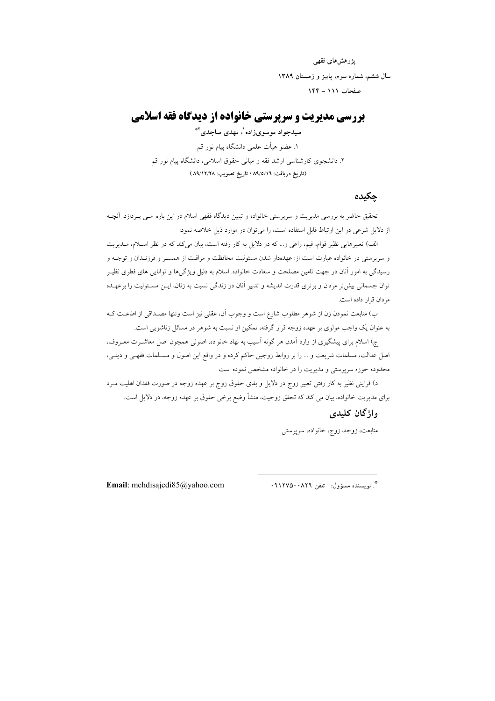یژوهش های فقهی سال ششم، شماره سوم، پاییز و زمستان ۱۳۸۹ صفحات ١١١ - ١۴۴

# **بررسی مدیریت و سرپرستی خانواده از دیدگاه فقه اسلامی**

سیدجواد موسویزاده '، مهدی ساجدی ٔ ٌ ۱. عضو هیأت علمی دانشگاه پیام نور قم ۲. دانشجوی کارشناسی ارشد فقه و مبانی حقوق اسلامی، دانشگاه پیام نور قم (تاريخ دريافت: ٨٩/٥/١٦ ؛ تاريخ تصويب: ٨٩/١٢/٢٨ )

#### حكىدە

تحقیق حاضر به بررسی مدیریت و سرپرستی خانواده و تبیین دیدگاه فقهی اسلام در این باره مـی پـردازد. آنچـه از دلایل شرعی در این ارتباط قابل استفاده است، را می توان در موارد ذیل خلاصه نمود:

الف) تعبيرهايي نظير قوام، قيم، راعي و… كه در دلايل به كار رفته است، بيان مي كند كه در نظر اســلام، مــديريت و سرپرستی در خانواده عبارت است از: عهدهدار شدن مسئولیت محافظت و مراقبت از همسـر و فرزنـدان و توجــه و رسیدگی به امور آنان در جهت تامین مصلحت و سعادت خانواده. اسلام به دلیل ویژگیها و توانایی های فطری نظیـر توان جسمانی بیش تر مردان و برتری قدرت اندیشه و تدبیر آنان در زندگی نسبت به زنان، ایــن مسـئولیت را برعهــده م دان قرار داده است.

ب) متابعت نمودن زن از شوهر مطلوب شارع است و وجوب آن، عقلی نیز است وتنها مصـداقی از اطاعـت کـه به عنوان یک واجب مولوی بر عهده زوجه قرار گرفته، تمکین او نسبت به شوهر در مسائل زناشویی است.

ج) اسلام برای پیشگیری از وارد آمدن هر گونه آسیب به نهاد خانواده، اصولی همچون اصل معاشــرت معــروف، اصل عدالت، مسلمات شریعت و … را بر روابط زوجین حاکم کرده و در واقع این اصول و مسـلمات فقهـی و دینـی، .<br>محدوده حوزه سریرستی و مدیریت را در خانواده مشخص نموده است .

د) قراینی نظیر به کار رفتن تعبیر زوج در دلایل و بقای حقوق زوج بر عهده زوجه در صورت فقدان اهلیت مـرد برای مدیریت خانواده، بیان می کند که تحقق زوجیت، منشأ وضع برخی حقوق بر عهده زوجه، در دلایل است.

## واژگان کليدي

متابعت، زوجه، زوج، خانواده، سرپرستی.

Email: mehdisajedi85@yahoo.com

\*. نويسنده مسؤول: تلفن ٨٢٩٠٠٨٢٩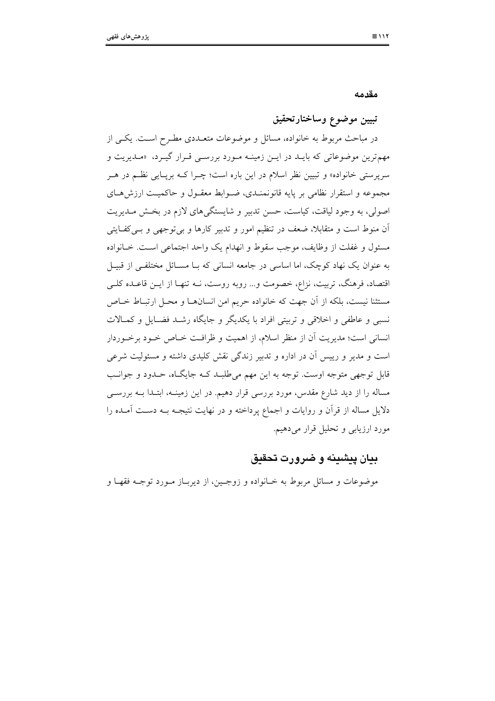مقدمه

## تبيين موضوع وساختارتحقيق

در مباحث مربوط به خانواده، مسائل و موضوعات متعــددی مطـرح اسـت. یکــی از مهمترین موضوعاتی که بایـد در ایـن زمینـه مـورد بررسـی قـرار گیـرد، «مـدیریت و سرپرستی خانواده» و تبیین نظر اسلام در این باره است؛ چـرا کــه برپــایی نظــم در هــر مجموعه و استقرار نظامی بر پایه قانونمنـدی، ضـوابط معقـول و حاکمیـت ارزش۵حـای اصولی، به وجود لیاقت، کیاست، حسن تدبیر و شایستگیهای لازم در بخش مـدیریت اّن منوط است و متقابلاً، ضعف در تنظیم امور و تدبیر کارها و بی توجهی و بــیکفــایتی مسئول و غفلت از وظایف، موجب سقوط و انهدام یک واحد اجتماعی است. خـانواده به عنوان یک نهاد کوچک، اما اساسی در جامعه انسانی که بــا مســائل مختلفــی از قبیــل اقتصاد، فرهنگ، تربیت، نزاع، خصومت و… روبه روست، نــه تنهـا از ایــن قاعــده کلــی مستثنا نیست، بلکه از آن جهت که خانواده حریم امن انسانهـا و محـل ارتبـاط خـاص نسبی و عاطفی و اخلاقی و تربیتی افراد با یکدیگر و جایگاه رشـد فضـایل و کمـالات انسانی است؛ مدیریت آن از منظر اسلام، از اهمیت و ظرافت خـاص خـود برخـوردار است و مدیر و رییس آن در اداره و تدبیر زندگی نقش کلیدی داشته و مسئولیت شرعی قابل توجهی متوجه اوست. توجه به این مهم میطلبـد کـه جایگـاه، حـدود و جوانـب مساله را از دید شارع مقدس، مورد بررسی قرار دهیم. در این زمینــه، ابتــدا بــه بررســی دلایل مساله از قرآن و روایات و اجماع پرداخته و در نهایت نتیجــه بــه دســت آمــده را مورد ارزیابی و تحلیل قرار میدهیم.

## بيان پيشينه و ضرورت تحقيق

موضوعات و مسائل مربوط به خــانواده و زوجـين، از ديربــاز مــورد توجــه فقهــا و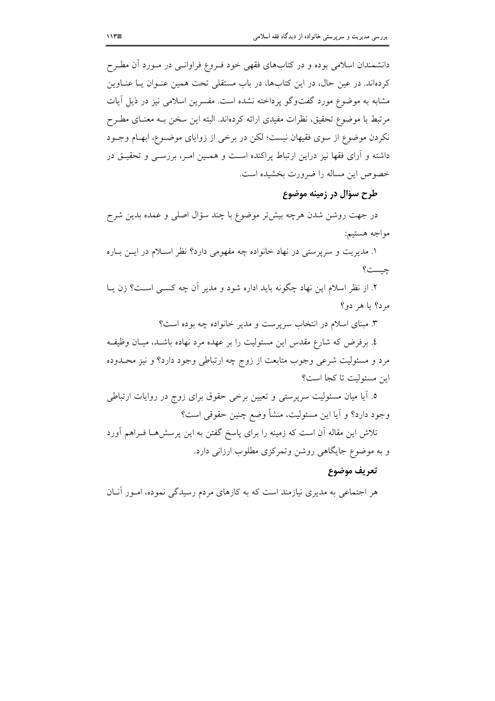دانشمندان اسلامی بوده و در کتابهای فقهی خود فـروع فراوانـی در مـورد آن مطـرح کردهاند. در عین حال، در این کتابها، در باب مستقلی تحت همین عنـوان یـا عنـاوین مشابه به موضوع مورد گفتوگو پرداخته نشده است. مفسرين اسلامي نيز در ذيل آيات مرتبط با موضوع تحقیق، نظرات مفیدی ارائه کردهاند. البته این سخن بــه معنــای مطــرح نکردن موضوع از سوی فقیهان نیست؛ لکن در برخی از زوایای موضـوع، ابهـام وجـود داشته و آرای فقها نیز دراین ارتباط پراکنده است و همـین امـر، بررسـی و تحقیـق در خصوص اين مساله را ضرورت بخشيده است.

# طرح سؤال در زمينه موضوع

در جهت روشن شدن هرچه بیش تر موضوع با چند سؤال اصلی و عمده بدین شرح مواجه هستيم:

۱. مدیریت و سرپرستی در نهاد خانواده چه مفهومی دارد؟ نظر اسلام در ایـن بـاره چیست؟

۲. از نظر اسلام این نهاد چگونه باید اداره شود و مدیر آن چه کســی اســت؟ زن یــا مرد؟ يا هر دو؟

۳. مبنای اسلام در انتخاب سرپرست و مدیر خانواده چه بوده است؟ ٤. برفرض كه شارع مقدس اين مسئوليت را بر عهده مرد نهاده باشـد، ميـان وظيفـه مرد و مسئولیت شرعی وجوب متابعت از زوج چه ارتباطی وجود دارد؟ و نیز محـدوده ابن مسئولت تا كجا است؟

۵. آیا میان مسئولیت سرپرستی و تعیین برخی حقوق برای زوج در روایات ارتباطی وجود دارد؟ و آيا اين مسئوليت، منشأ وضع چنين حقوقي است؟

تلاش این مقاله آن است که زمینه را برای پاسخ گفتن به این پرسش هــا فــراهـم آورد و به موضوع جایگاهی روشن وتمرکزی مطلوب ارزانی دارد.

## تعريف موضوع

هر اجتماعی به مدیری نیازمند است که به کارهای مردم رسیدگی نموده، امـور آنــان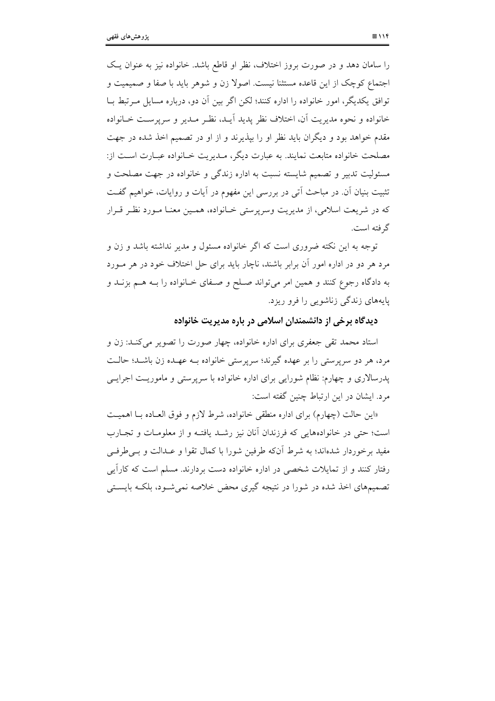را سامان دهد و در صورت بروز اختلاف، نظر او قاطع باشد. خانواده نیز به عنوان یک اجتماع کوچک از این قاعده مستثنا نیست. اصولا زن و شوهر باید با صفا و صمیمیت و توافق يكديگر، امور خانواده را اداره كنند؛ لكن اگر بين آن دو، درباره مسايل مـرتبط بــا خانواده و نحوه مديريت أن، اختلاف نظر يديد أيـد، نظـر مـدير و سريرسـت خـانواده مقدم خواهد بود و دیگران باید نظر او را بیذیرند و از او در تصمیم اخذ شده در جهت مصلحت خانواده متابعت نمایند. به عبارت دیگر، میدیریت خیانواده عبیارت است از: مسئولیت تدبیر و تصمیم شایسته نسبت به اداره زندگی و خانواده در جهت مصلحت و تثبیت بنیان آن. در مباحث آتی در بررسی این مفهوم در اَیات و روایات، خواهیم گفت که در شریعت اسلامی، از مدیریت وسرپرستی خـانواده، همـین معنـا مـورد نظـر قـرار گر فته است.

توجه به این نکته ضروری است که اگر خانواده مسئول و مدیر نداشته باشد و زن و مرد هر دو در اداره امور آن برابر باشند، ناچار باید برای حل اختلاف خود در هر مــورد به دادگاه رجوع کنند و همین امر میتواند صـلح و صـفای خـانواده را بــه هــم بزنــد و یایههای زندگی زناشویی را فرو ریزد.

### دیدگاه برخی از دانشمندان اسلامی در باره مدیریت خانواده

استاد محمد تقی جعفری برای اداره خانواده، چهار صورت را تصویر می کنـد: زن و مرد، هر دو سرپرستی را بر عهده گیرند؛ سرپرستی خانواده بـه عهـده زن باشـد؛ حالـت یدرسالاری و چهارم: نظام شورایی برای اداره خانواده با سرپرستی و ماموریـت اجرایــی مرد. ایشان در این ارتباط چنین گفته است:

«این حالت (چهارم) برای اداره منطقی خانواده، شرط لازم و فوق العـاده بـا اهمیـت است؛ حتى در خانوادههايي كه فرزندان آنان نيز رشـد يافتـه و از معلومـات و تجـارب مفید پرخوردار شدهاند؛ به شرط آنکه طرفین شورا با کمال تقوا و عبدالت و پے طرفے رفتار کنند و از تمایلات شخصی در اداره خانواده دست بردارند. مسلم است که کارآبی تصمیمهای اخذ شده در شورا در نتیجه گیری محض خلاصه نمی شـود، بلکـه بایسـتی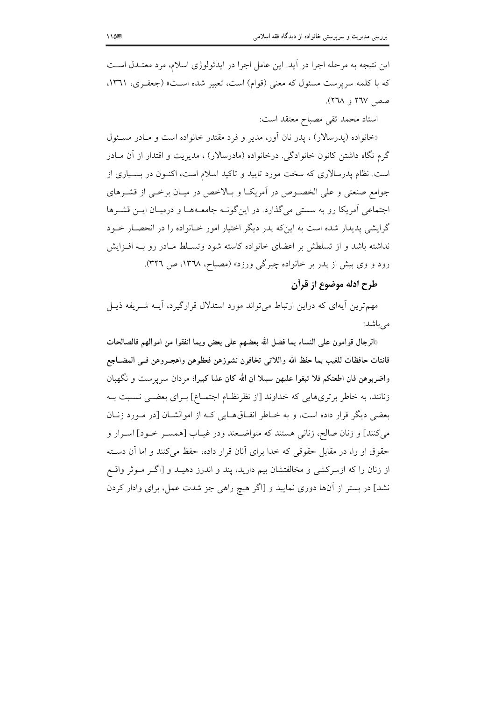این نتیجه به مرحله اجرا در آید. این عامل اجرا در ایدئولوژی اسلام، مرد معتـدل اسـت که با کلمه سرپرست مسئول که معنی (قوام) است، تعبیر شده است» (جعفـری، ١٣٦١، صص ٢٦٧ و ٢٦٨).

استاد محمد تقى مصباح معتقد است:

«خانواده (يدرسالار) ، يدر نان آور، مدير و فرد مقتدر خانواده است و مـادر مسـئول گرم نگاه داشتن کانون خانوادگی. درخانواده (مادرسالار) ، مدیریت و اقتدار از آن مـادر است. نظام پدرسالاری که سخت مورد تایید و تاکید اسلام است، اکنـون در بسـیاری از جوامع صنعتی و علی الخصوص در آمریک] و بـالاخص در میـان برخـی از قشـرهای اجتماعی آمریکا رو به سستی میگذارد. در این گونـه جامعـههـا و درمیـان ایـن قشـرها گرایشی پدیدار شده است به اینکه پدر دیگر اختیار امور خـانواده را در انحصـار خـود نداشته باشد و از تسلطش بر اعضای خانواده کاسته شود وتسـلط مـادر رو بـه افـزايش رود و وی بیش از پدر بر خانواده چیرگی ورزد» (مصباح، ۱۳۷۸، ص ۳۲٦).

## طرح ادله موضوع از قرأن

مهمترین آیهای که دراین ارتباط میتواند مورد استدلال قرارگیرد، آیــه شــریفه ذیــل مے باشد:

«الرجال قوامون على النساء بما فضل الله بعضهم على بعض وبما انفقوا من اموالهم فالصالحات قانتات حافظات للغيب بما حفظ الله واللاتبي تخافون نشوزهن فعظوهن واهجـروهن فـبي المضــاجع واضربوهن فان اطعنكم فلا تبغوا عليهن سبيلا ان الله كان عليا كبيرا؛ مردان سرپرست و نگهبان زنانند، به خاطر برتريهايي كه خداوند [از نظرنظـام اجتمــاع] بــراي بعضــي نســبت بــه بعضی دیگر قرار داده است، و به خـاطر انفـاقهـایی کـه از اموالشـان [در مـورد زنـان مي كنند] و زنان صالح، زناني هستند كه متواضـعند ودر غيــاب [همســر خــود] اســرار و حقوق او را، در مقابل حقوقی که خدا برای آنان قرار داده، حفظ می کنند و اما آن دسته از زنان را که ازسرکشی و مخالفتشان بیم دارید، پند و اندرز دهیـد و [اگـر مـوثر واقـع نشد] در بستر از آنها دوری نمایید و [اگر هیچ راهی جز شدت عمل، برای وادار کردن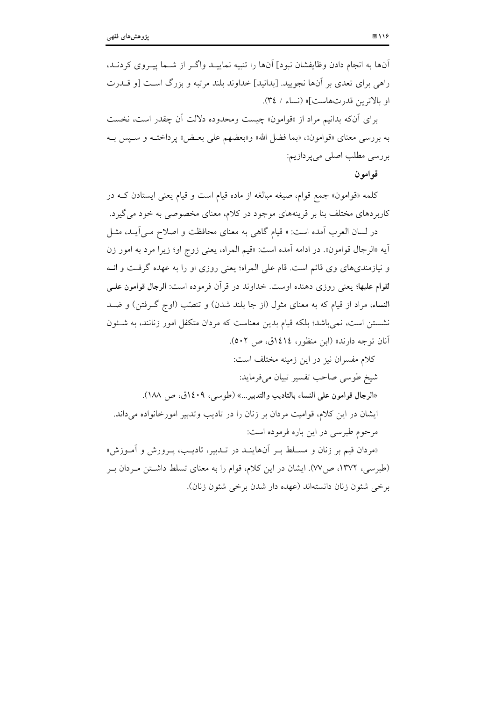آنها به انجام دادن وظایفشان نبود] آنها را تنبیه نماییـد واگـر از شــما پیـروی کردنـد، راهی برای تعدی بر آنها نجویید. [بدانید] خداوند بلند مرتبه و بزرگ است [و قــدرت او بالاترين قدرتهاست]» (نساء / ٣٤).

براي آنكه بدانيم مراد از «قوامون» چيست ومحدوده دلالت آن چقدر است، نخست به بررسی معنای «قوامون»، «بما فضل الله» و«بعضهم علی بعـض» پرداختــه و ســيس بــه بررسي مطلب اصلي مي پر دازيم:

قوامون

کلمه «قوامون» جمع قوام، صیغه مبالغه از ماده قیام است و قیام یعنی ایستادن کـه در کاربردهای مختلف بنا بر قرینههای موجود در کلام، معنای مخصوصی به خود می گیرد.

در لسان العرب آمده است: « قيام گاهي به معناي محافظت و اصلاح مـي آيــد، مثــل آيه «الرجال قوامون». در ادامه آمده است: «قيم المراه، يعني زوج او؛ زيرا مرد به امور زن و نیازمندیهای وی قائم است. قام علی المراه؛ یعنی روزی او را به عهده گرفت و انــه لقوام عليها؛ يعني روزي دهنده اوست. خداوند در قرأن فرموده است: الرجال قوامون علـي النساء، مراد از قيام كه به معناي مثول (از جا بلند شدن) و تنصّب (اوج گـرفتن) و ضـد نشستن است، نمی باشد؛ بلکه قیام بدین معناست که مردان متکفل امور زنانند، به شــئون آنان توجه دارند» (ابن منظور، ١٤١٤ق، ص ٥٠٢).

كلام مفسران نيز در اين زمينه مختلف است: شيخ طوسي صاحب تفسير تبيان مي فرمايد: «الرجال قوامون على النساء بالتاديب والتدبير…» (طوسي، ١٤٠٩ق، ص ١٨٨). ایشان در این کلام، قوامیت مردان بر زنان را در تادیب وتدبیر امورخانواده می داند. مرحوم طبرسی در این باره فرموده است: «مردان قیم بر زنان و مسـلط بـر آنهاینــد در تــدبیر، تادیــب، پــرورش و آمــوزش» (طبرسی، ۱۳۷۲، ص۷۷). ایشان در این کلام، قوام را به معنای تسلط داشتن مـردان بـر

برخی شئون زنان دانستهاند (عهده دار شدن برخی شئون زنان).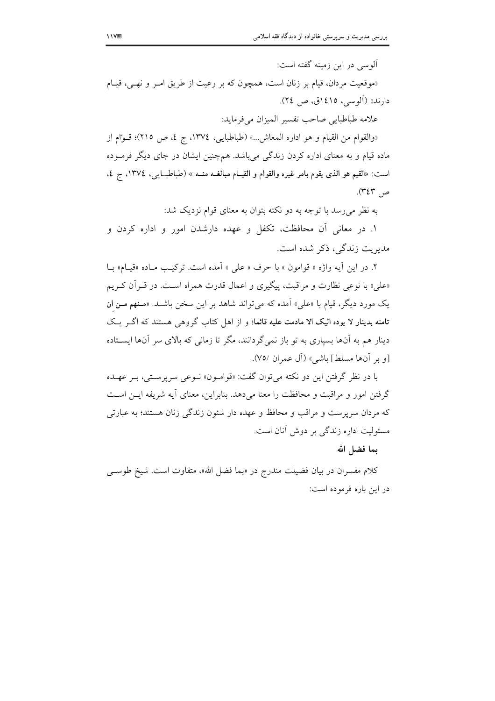آلوسی در این زمینه گفته است:

«موقعیت مردان، قیام بر زنان است، همچون که بر رعیت از طریق امـر و نهـی، قیـام دارند» (آلوسي، ١٤١٥ق، ص ٢٤).

علامه طباطبايي صاحب تفسير الميزان مي فرمايد:

«والقوام من القيام و هو اداره المعاش...» (طباطبايي، ١٣٧٤، ج ٤، ص ٢١٥)؛ قـوام از ماده قیام و به معنای اداره کردن زندگی می باشد. همچنین ایشان در جای دیگر فرمـوده است: «القيم هو الذي يقوم بامر غيره والقوام و القيـام مبالغـه منــه » (طباطبــايي، ١٣٧٤، ج ٤، ص ۳٤٣).

به نظر می رسد با توجه به دو نکته بتوان به معنای قوام نزدیک شد:

۱. در معانی آن محافظت، تکفل و عهده دارشدن امور و اداره کردن و مديريت زندگي، ذكر شده است.

٢. در اين أيه واژه « قوامون » با حرف « على » أمده است. تركيب مـاده «قيـام» بـا «علي» با نوعي نظارت و مراقبت، پيگيري و اعمال قدرت همراه است. در قـران كـريم یک مورد دیگر، قیام با «علی» آمده که میتواند شاهد بر این سخن باشـد. «مـنهم مـن ان تامنه بدینار لا یوده الیک الا مادمت علیه قائما؛ و از اهل کتاب گروهی هستند که اگـر یـک دینار هم به آنها بسیاری به تو باز نمی گردانند، مگر تا زمانی که بالای سر آنها ایستاده [و بر آنها مسلط] باشي» (آل عمران ٧٥/).

با در نظر گرفتن این دو نکته می توان گفت: «قوامـون» نـوعی سرپرسـتی، بـر عهـده گرفتن امور و مراقبت و محافظت را معنا می دهد. بنابراین، معنای آیه شریفه ایــن اســت که مردان سرپرست و مراقب و محافظ و عهده دار شئون زندگی زنان هستند؛ به عبارتی مسئوليت اداره زندگي بر دوش آنان است.

بما فضل الله

کلام مفسران در بیان فضیلت مندرج در «بما فضل الله»، متفاوت است. شیخ طوس<sub>عی</sub> در این باره فرموده است: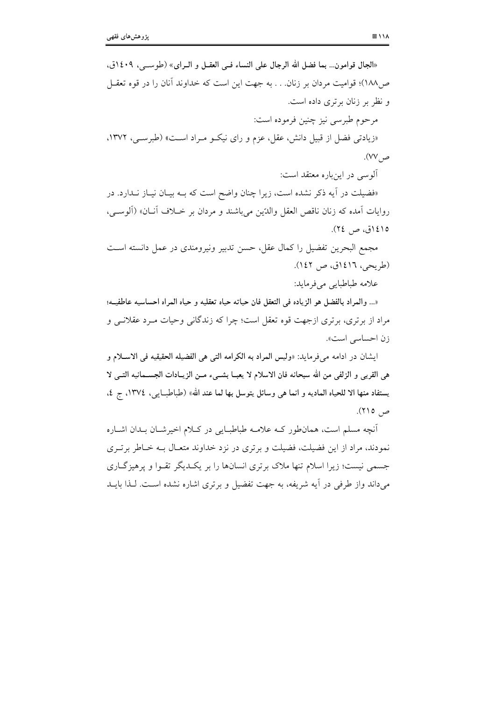| «الجال قوامون… بما فضل الله الرجال على النساء فــي العقــل و الــراي» (طوســي، ١٤٠٩ق،                |
|------------------------------------------------------------------------------------------------------|
| ص۱۸۸)؛ قوامیت مردان بر زنان. به جهت این است که خداوند آنان را در قوه تعقــل                          |
| و نظر بر زنان برتری داده است.                                                                        |
| مرحوم طبرسي نيز چنين فرموده است:                                                                     |
| «زیادتی فضل از قبیل دانش، عقل، عزم و رای نیکـو مـراد اسـت» (طبرسـی، ۱۳۷۲،                            |
| ص ۷۷).                                                                                               |
| آلوسی در اینباره معتقد است:                                                                          |
| «فضیلت در آیه ذکر نشده است، زیرا چنان واضح است که بــه بیــان نیــاز نــدارد. در                     |
| روايات أمده كه زنان ناقص العقل والدّين ميباشند و مردان بر خــلاف أنــان» (ألوســي،                   |
| ١٤١٥ق، ص ٢٤).                                                                                        |
| مجمع البحرين تفضيل را كمال عقل، حسن تدبير ونيرومندى در عمل دانسته اسـت                               |
| (طريحي، ١٤١٦ق، ص ١٤٢).                                                                               |
| علامه طباطبايي ميفرمايد:                                                                             |
| «… والمراد بالفضل هو الزياده في التعقل فان حياته حياه تعقليه و حياه المراه احساسيه عاطفيــه؛         |
| مراد از برتری، برتری ازجهت قوه تعقل است؛ چرا که زندگانی وحیات مـرد عقلانــی و                        |
| زن احساسی است».                                                                                      |
| ايشان در ادامه م <sub>ى</sub> فرمايد: «وليس المراد به الكرامه التى هى الفضيله الحقيقيه فى الاسـلام و |
| هي القربي و الزلفي من الله سبحانه فان الاسلام لا يعبــا بشــيء مــن الزيــادات الجســمانيه التــي لا |
| يستفاد منها الا للحياه الماديه و انما هي وسائل يتوسل بها لما عند الله» (طباطبــايـي، ١٣٧٤، ج ٤،      |
| ص ٢١٥).                                                                                              |
| آنچه میا باست، همانطن که علام مطاط اس در کلام اخر شان دان اشاره                                      |

انچه مسلم است، همانطور کــه علامــه طباطبــایی در کــلام اخیرشــان بــدان اشــاره نمودند، مراد از این فضیلت، فضیلت و برتری در نزد خداوند متعـال بــه خــاطر برتــری جسمی نیست؛ زیرا اسلام تنها ملاک برتری انسانها را بر یک<code>L</code>یگر تقــوا و پرهیزگــاری میداند واز طرفی در آیه شریفه، به جهت تفضیل و برتری اشاره نشده است. لـذا بایــد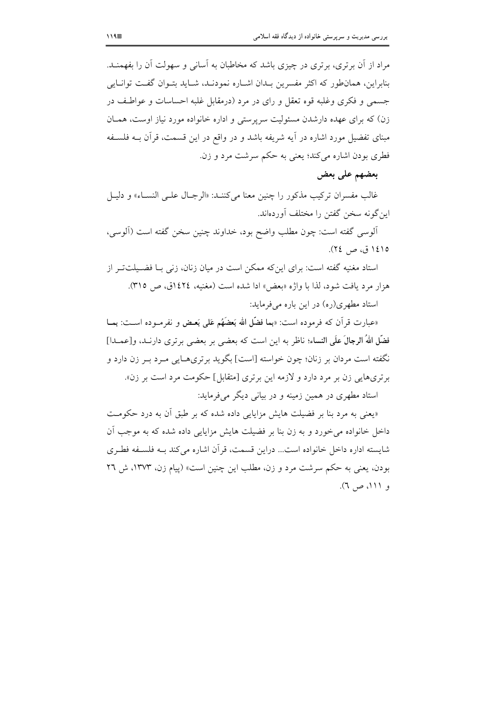مراد از آن برتری، برتری در چیزی باشد که مخاطبان به آسانی و سهولت آن را بفهمنــد. بنابراین، همان طور که اکثر مفسرین بـدان اشـاره نمودنـد، شـاید بتـوان گفـت توانـایـم جسمي و فكرى وغلبه قوه تعقل و راى در مرد (درمقابل غلبه احساسات و عواطف در زن) که برای عهده دارشدن مسئولیت سرپرستی و اداره خانواده مورد نیاز اوست، همـان مبنای تفضیل مورد اشاره در آیه شریفه باشد و در واقع در این قسمت، قرآن بــه فلســفه فطري بودن اشاره مي کند؛ يعني به حکم سرشت مرد و زن.

## بعضهم على بعض

غالب مفسران تركيب مذكور را چنين معنا مي كننــد: «الرجــال علــي النســاء» و دليــل این گونه سخن گفتن را مختلف آوردهاند.

ألوسي گفته است: چون مطلب واضح بود، خداوند چنین سخن گفته است (ألوسي، ١٤١٥ ق، ص ٢٤).

استاد مغنیه گفته است: برای اینکه ممکن است در میان زنان، زنی بـا فضـیلتتـر از هزار مرد يافت شود، لذا با واژه «بعض» ادا شده است (مغنيه، ١٤٢٤ق، ص ٣١٥). استاد مطهری(ره) در این باره می فرماید:

«عبارت قرآن كه فرموده است: «بما فضَّل الله بَعضَهُم عَلى بَعض و نفرمـوده اســت: بمــا فضَّل اللهُ الرجالَ علَى النساء؛ ناظر به اين است كه بعضي بر بعضي برتري دارنــد، و[عمــدا] نگفته است مردان بر زنان؛ چون خواسته [است] بگوید برتریهـایی مـرد بـر زن دارد و برتريهايي زن بر مرد دارد و لازمه اين برتري [متقابل] حكومت مرد است بر زن». استاد مطهري در همين زمينه و در بياني ديگر مي فرمايد:

«یعنی به مرد بنا بر فضیلت هایش مزایایی داده شده که بر طبق آن به درد حکومت داخل خانواده می خورد و به زن بنا بر فضیلت هایش مزایایی داده شده که به موجب آن شايسته اداره داخل خانواده است... دراين قسمت، قرآن اشاره مي كند بـه فلسـفه فطـرى بودن، یعنی به حکم سرشت مرد و زن، مطلب این چنین است» (پیام زن، ۱۳۷۳، ش ۲۲ و ۱۱۱، ص ٦).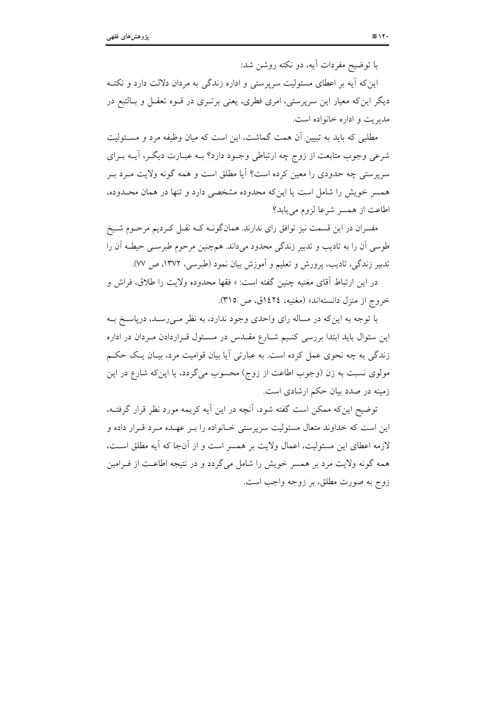با توضیح مفردات آیه، دو نکته روشن شد:

این که آیه بر اعطای مسئولیت سرپرستی و اداره زندگی به مردان دلالت دارد و نکتـه دیگر این که معیار این سربرستی، امری فطری، یعنی برتـری در قــوه تعقــل و بــالتبع در مديريت و اداره خانواده است.

مطلبی که باید به تبیین آن همت گماشت، این است که میان وظیفه مرد و مسـئولیت شرعی وجوب متابعت از زوج چه ارتباطی وجـود دارد؟ بـه عبـارت دیگـر، آیــه بــرای سرپرستی چه حدودی را معین کرده است؟ آیا مطلق است و همه گونه ولایت مـرد بـر همسر خویش را شامل است یا این که محدوده مشخصی دارد و تنها در همان محـدوده، اطاعت از همسر شرعا لزوم می یابد؟

مفسران در این قسمت نیز توافق رای ندارند. همانگونـه کـه نقـل کـردیم مرحـوم شـیخ طوسی اَن را به تادیب و تدبیر زندگی محدود میداند. همچنین مرحوم طبرسـی حیطـه اَن را تدبیر زندگی، تادیب، پرورش و تعلیم و آموزش بیان نمود (طبرسی، ۱۳۷۲، ص ۷۷).

در اين ارتباط آقاى مغنيه چنين گفته است: « فقها محدوده ولايت را طلاق، فراش و خروج از منزل دانستهاند» (مغنیه، ١٤٢٤ق، ص ٣١٥).

با توجه به این که در مساله رای واحدی وجود ندارد، به نظر مـی٫سـد، درپاسـخ بــه این سئوال باید ابتدا بررسی کنـیم شــارع مقــدس در مســئول قــراردادن مــردان در اداره زندگی به چه نحوی عمل کرده است. به عبارتی آیا بیان قوامیت مرد، بیـان یـک حکـم مولوی نسبت به زن (وجوب اطاعت از زوج) محسوب میگردد، یا اینکه شارع در این زمینه در صدد بیان حکم ارشادی است.

توضیح این که ممکن است گفته شود، آنچه در این اَیه کریمه مورد نظر قرار گرفتــه، این است که خداوند متعال مسئولیت سرپرستی خـانواده را بـر عهـده مـرد قـرار داده و لازمه اعطای این مسئولیت، اعمال ولایت بر همسر است و از آنجا که آیه مطلق است، همه گونه ولایت مرد بر همسر خویش را شامل میگردد و در نتیجه اطاعـت از فـرامین زوج به صورت مطلق، بر زوجه واجب است.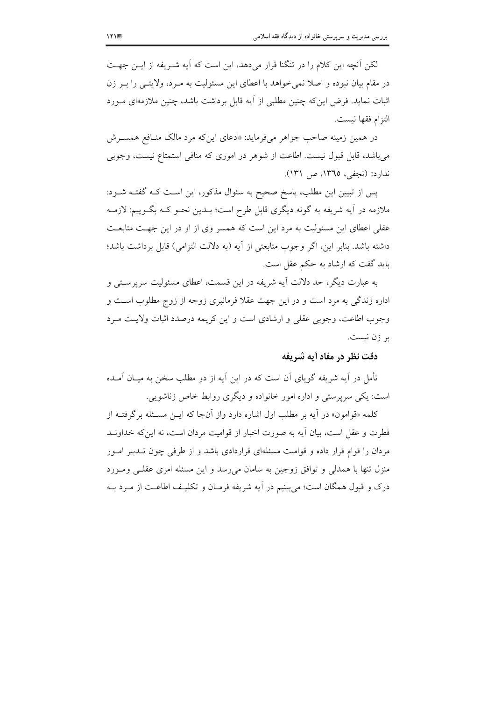لکن آنچه این کلام را در تنگنا قرار میدهد، این است که آیه شــریفه از ایــن جهــت در مقام بیان نبوده و اصلا نمی خواهد با اعطای این مسئولیت به مـرد، ولایتــی را بــر زن اثبات نماید. فرض اینکه چنین مطلبی از آیه قابل برداشت باشد، چنین ملازمهای مــورد التزام فقها نيست.

در همین زمینه صاحب جواهر می فرماید: «ادعای این که مرد مالک منافع همسـرش می باشد، قابل قبول نیست. اطاعت از شوهر در اموری که منافی استمتاع نیست، وجوبی ندارد» (نجفي، ١٣٦٥، ص ١٣١).

پس از تبیین این مطلب، پاسخ صحیح به سئوال مذکور، این اسـت کـه گفتــه شــود: ملازمه در آیه شریفه به گونه دیگری قابل طرح است؛ بــدین نحــو کــه بگــوییم: لازمــه عقلی اعطای این مسئولیت به مرد این است که همسر وی از او در این جهت متابعت داشته باشد. بنابر این، اگر وجوب متابعتی از اَیه (به دلالت التزامی) قابل برداشت باشد؛ باید گفت که ارشاد به حکم عقل است.

به عبارت دیگر، حد دلالت آیه شریفه در این قسمت، اعطای مسئولیت سرپرسـتی و اداره زندگی به مرد است و در این جهت عقلا فرمانبری زوجه از زوج مطلوب است و وجوب اطاعت، وجوبی عقلی و ارشادی است و این کریمه درصدد اثبات ولایت مـرد بر زن نیست.

## دقت نظر در مفاد أيه شريفه

تأمل در آیه شریفه گویای آن است که در این آیه از دو مطلب سخن به میـان آمـده است: یکی سرپرستی و اداره امور خانواده و دیگری روابط خاص زناشویی.

کلمه «قوامون» در آیه بر مطلب اول اشاره دارد واز آنجا که ایــن مســئله برگرفتــه از فطرت و عقل است، بیان آیه به صورت اخبار از قوامیت مردان است، نه این که خداونید مردان را قوام قرار داده و قوامیت مسئلهای قراردادی باشد و از طرفی چون تـدبیر امـور منزل تنها یا همدلی و توافق زوجین به سامان می رسد و این مسئله امری عقلبی ومبورد درک و قبول همگان است؛ می بینیم در آیه شریفه فرمیان و تکلیـف اطاعـت از میرد بـه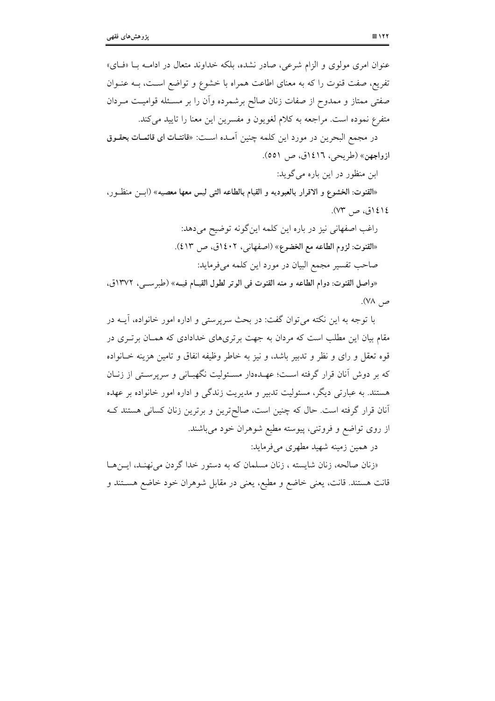| عنوان امری مولوی و الزام شرعی، صادر نشده، بلکه خداوند متعال در ادامــه بــا «فــای»        |
|--------------------------------------------------------------------------------------------|
| تفریع، صفت قنوت را که به معنای اطاعت همراه با خشوع و تواضع اسـت، بــه عنــوان              |
| صفتی ممتاز و ممدوح از صفات زنان صالح برشمرده وأن را بر مسـئله قوامیـت مـردان               |
| متفرع نموده است. مراجعه به کلام لغویون و مفسرین این معنا را تایید میکند.                   |
| در مجمع البحرين در مورد اين كلمه چنين أمــده اســت: «قانتــات اى قائمــات بحقــوق          |
| ازواجهن» (طريحي، ١٤١٦ق، ص ٥٥١).                                                            |
| ابن منظور در این باره میگوید:                                                              |
| «القنوت: الخشوع و الاقرار بالعبوديه و القيام بالطاعه التي ليس معها معصيه» (ابـــن منظــور، |
| ١٤١٤ق، ص ٧٣).                                                                              |
| راغب اصفهانی نیز در باره این کلمه اینگونه توضیح میدهد:                                     |
| «القنوت: لزوم الطاعه مع الخضوع» (اصفهانی، ۱۶۰۲ق، ص ۱۲).                                    |
| صاحب تفسیر مجمع البیان در مورد این کلمه میفرماید:                                          |
| «واصل القنوت: دوام الطاعه و منه القنوت في الوتر لطول القيـام فيـه» (طبرســي، ١٣٧٢ق،        |
| ص ۷۸).                                                                                     |

با توجه به این نکته می توان گفت: در بحث سرپرستی و اداره امور خانواده، آیــه در مقام بیان این مطلب است که مردان به جهت برتریهای خدادادی که همـان برتـری در قوه تعقل و رای و نظر و تدبیر باشد، و نیز به خاطر وظیفه انفاق و تامین هزینه خــانواده که بر دوش آنان قرار گرفته است؛ عهـدهدار مسـئوليت نگهبـاني و سرپرسـتي از زنــان هستند. به عبارتی دیگر، مسئولیت تدبیر و مدیریت زندگی و اداره امور خانواده بر عهده آنان قرار گرفته است. حال که چنین است، صالح ترین و برترین زنان کسانی هستند ک از روی تواضع و فروتنی، پیوسته مطیع شوهران خود میباشند.

در همین زمینه شهید مطهری میفرماید:

«زنان صالحه، زنان شایسته ، زنان مسلمان که به دستور خدا گردن می نهنـد، ایـنهـا قانت هستند. قانت، یعنی خاضع و مطیع، یعنی در مقابل شوهران خود خاضع هســتند و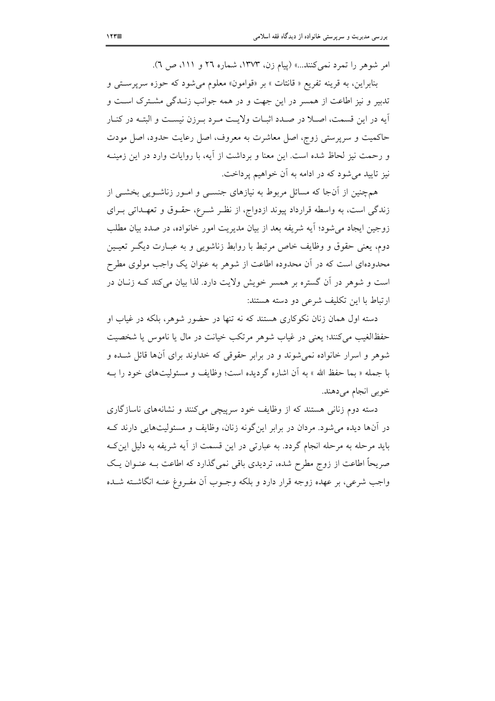امر شوهر را تمرد نمی کنند...» (پیام زن، ١٣٧٣، شماره ٢٦ و ١١١، ص ٦).

بنابراین، به قرینه تفریع « قانتات » بر «قوامون» معلوم می شود که حوزه سرپرستی و تدبیر و نیز اطاعت از همسر در این جهت و در همه جوانب زنـدگی مشـترک اسـت و آيه در اين قسمت، اصـلا در صـدد اثبـات ولايـت مـرد بـرزن نيسـت و البتــه در كنــار حاکمیت و سرپرستی زوج، اصل معاشرت به معروف، اصل رعایت حدود، اصل مودت و رحمت نیز لحاظ شده است. این معنا و برداشت از آیه، با روایات وارد در این زمینــه نیز تایید می شود که در ادامه به آن خواهیم پرداخت.

همچنین از آنجا که مسائل مربوط به نیازهای جنسـی و امـور زناشـویی بخشـی از زندگی است، به واسطه قرارداد پیوند ازدواج، از نظر شـرع، حقـوق و تعهـداتی بـرای زوجين ايجاد مي شود؛ آيه شريفه بعد از بيان مديريت امور خانواده، در صدد بيان مطلب دوم، يعني حقوق و وظايف خاص مرتبط با روابط زناشويي و به عبــارت ديگــر تعيــين محدودهای است که در آن محدوده اطاعت از شوهر به عنوان یک واجب مولوی مطرح است و شوهر در آن گستره بر همسر خویش ولایت دارد. لذا بیان می کند کـه زنـان در ارتباط با این تکلیف شرعی دو دسته هستند:

دسته اول همان زنان نکوکاری هستند که نه تنها در حضور شوهر، بلکه در غیاب او حفظ الغیب می کنند؛ یعنی در غیاب شوهر مرتکب خیانت در مال یا ناموس یا شخصیت شوهر و اسرار خانواده نمی شوند و در برابر حقوقی که خداوند برای آنها قائل شـده و با جمله « بما حفظ الله » به أن اشاره گردیده است؛ وظایف و مسئولیتهای خود را بـه خوبي انجام مي دهند.

دسته دوم زنانی هستند که از وظایف خود سرپیچی میکنند و نشانههای ناسازگاری در آنها دیده می شود. مردان در برابر این گونه زنان، وظایف و مسئولیتهایی دارند ک باید مرحله به مرحله انجام گردد. به عبارتی در این قسمت از آیه شریفه به دلیل این ک صریحاً اطاعت از زوج مطرح شده، تردیدی باقی نمی گذارد که اطاعت بـه عنــوان یــک واجب شرعي، بر عهده زوجه قرار دارد و بلكه وجــوب أن مفــروغ عنــه انگاشــته شــده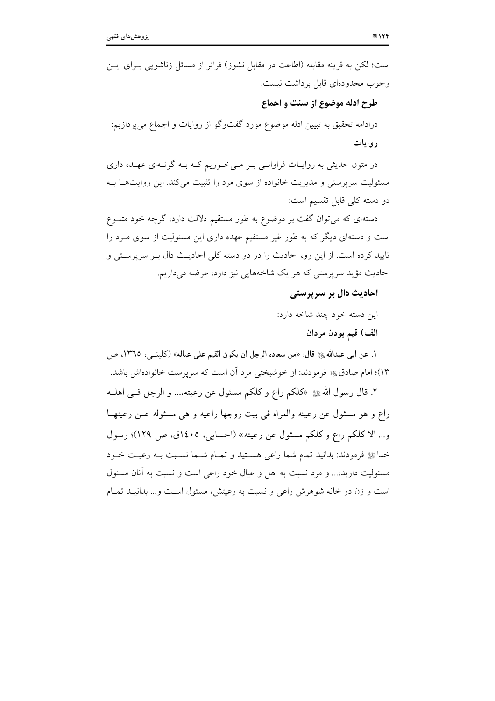| است؛ لکن به قرینه مقابله (اطاعت در مقابل نشوز) فراتر از مسائل زناشویی بــرای ایــن  |
|-------------------------------------------------------------------------------------|
| وجوب محدودهای قابل برداشت نیست.                                                     |
| طرح ادله موضوع از سنت و اجماع                                                       |
| درادامه تحقیق به تبیین ادله موضوع مورد گفتوگو از روایات و اجماع میپردازیم:          |
| روايات                                                                              |
| در متون حدیثی به روایــات فراوانــی بــر مــیخــوریم کــه بــه گونــهای عهــده داری |
| مسئولیت سرپرستی و مدیریت خانواده از سوی مرد را تثبیت میکند. این روایتهــا بــه      |
| دو دسته کلی قابل تقسیم است:                                                         |
| دستهای که میتوان گفت بر موضوع به طور مستقیم دلالت دارد، گرچه خود متنــوع            |
| است و دستهای دیگر که به طور غیر مستقیم عهده داری این مسئولیت از سوی مــرد را        |
| تایید کرده است. از این رو، احادیث را در دو دسته کلی احادیـث دال بــر سرپرســتی و    |
| احادیث مؤید سرپرستی که هر یک شاخههایی نیز دارد، عرضه میداریم:                       |
| احادیث دال بر سرپرستی                                                               |

این دسته خود چند شاخه دارد:

الف) قيم بودن مردان

١. عن ابي عبدالله ﷺ قال: «من سعاده الرجل ان يكون القيم على عياله» (كلينــي، ١٣٦٥، ص ١٣)؛ امام صادق ﷺ فرمودند: از خوشبختی مرد آن است که سرپرست خانوادهاش باشد.

٢. قال رسول الله عليه : «كلكم راع و كلكم مسئول عن رعيته،... و الرجل فـي اهلــه راع و هو مسئول عن رعيته والمراه في بيت زوجها راعيه و هي مسئوله عـن رعيتهـا و... الاكلكم راع وكلكم مسئول عن رعيته» (احسايي، ١٤٠٥ق، ص ١٢٩)؛ رسول خداﷺ فرمودند: بدانيد تمام شما راعي هسـتيد و تمـام شـما نسـبت بـه رعيـت خـود مسئولیت دارید،... و مرد نسبت به اهل و عیال خود راعی است و نسبت به آنان مسئول است و زن در خانه شوهرش راعی و نسبت به رعیتش، مسئول است و... بدانیـد تمـام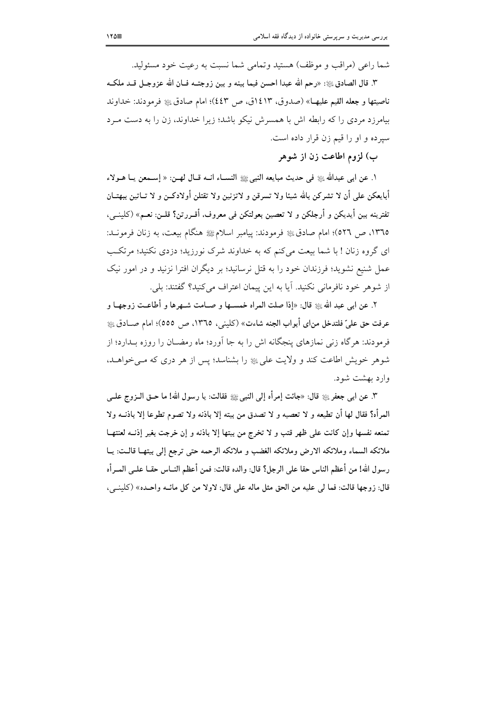شما راعي (مراقب و موظف) هستيد وتمامي شما نسبت به رعيت خود مسئوليد.

٣. قال الصادق ﷺ: «رحم الله عبدا احسن فيما بينه و بين زوجتــه فــان الله عزوجـل قــد ملكــه ناصيتها و جعله القيم عليهـا» (صدوق، ١٤١٣ق، ص ٤٤٣)؛ امام صادق ﷺ فرمودند: خداوند بیامرزد مردی را که رابطه اش با همسرش نیکو باشد؛ زیرا خداوند، زن را به دست مـرد سيرده و او را قيم زن قرار داده است.

ب) لزوم اطاعت زن از شوهر

ا. عن ابي عبدالله ﷺ في حديث مبايعه النبيﷺ النســاء انــه قــال لهــن: « إســمعن يــا هــولاء أبايعكن على أن لا تشركن بالله شيئا ولا تسرقن و لاتزنين ولا تقتلن أولادكـن و لا تــاتين ببهتــان تفترينه بين أيديكن و أرجلكن و لا تعصين بعولتكن في معروف، أقــررتن؟ قلــن: نعــم» (كلَّنـــي، ١٣٦٥، ص ٥٢٦)؛ امام صادقﷺ فرمودند: ييامبر اسلامﷺ هنگام بيعت، به زنان فرمونـد: ای گروه زنان ! با شما بیعت می کنم که به خداوند شرک نورزید؛ دزدی نکنید؛ مرتکب عمل شنیع نشوید؛ فرزندان خود را به قتل نرسانید؛ بر دیگران افترا نزنید و در امور نیک از شوهر خود نافرمانی نکنید. آیا به این پیمان اعتراف می کنید؟ گفتند: بلی.

٢. عن ابي عبد الله ﷺ قال: «إذا صلت المراه خمسـها و صــامت شــهرها و أطاعــت زوجهــا و عرفت حق علىّ فلتدخل من اي أبواب الجنه شاءت» (كلبني، ١٣٦٥، ص ٥٥٥)؛ امام صــادق ﷺ فرمودند: هرگاه زنبی نمازهای پنجگانه اش را به جا آورد؛ ماه رمضــان را روزه بــدارد؛ از شوهر خویش اطاعت کند و ولایت علی ﷺ را بشناسد؛ پس از هر دری که مبی خواهـد، وارد بهشت شود.

٣. عن ابي جعفر ﷺ قال: «جائت إمرأه إلى النبي ﷺ فقالت: يا رسول الله! ما حـق الــزوج علــي المرأه؟ فقال لها أن تطيعه و لا تعصيه و لا تصدق من بيته إلا باذنه ولا تصوم تطوعا إلا باذنــه ولا تمنعه نفسها وإن كانت على ظهر قتب و لا تخرج من بيتها إلا باذنه و إن خرجت بغير إذنـه لعنتهـا ملائكه السماء وملائكه الارض وملائكه الغضب و ملائكه الرحمه حتى ترجع إلى بيتهـا قالـت: يـا رسول الله! من أعظم الناس حقا على الرجل؟ قال: والده قالت: فمن أعظم النــاس حقــا علــي المــرأه قال: زوجها قالت: فما لي عليه من الحق مثل ماله على قال: لاولا من كل مائــه واحـده» (كلينــي،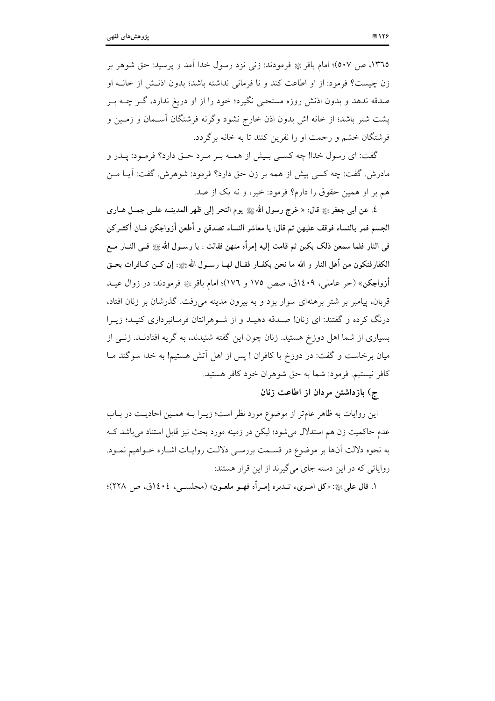١٣٦٥، ص ٥٠٧)؛ امام باقر ﷺ فرمودند: زنبي نزد رسول خدا آمد و يرسيد: حق شوهر بر زن چیست؟ فرمود: از او اطاعت کند و نا فرمانی نداشته باشد؛ بدون اذنـش از خانـه او صدقه ندهد و بدون اذنش روزه مستحبی نگیرد؛ خود را از او دریغ ندارد، گــر چــه بــر پشت شتر باشد؛ از خانه اش بدون اذن خارج نشود وگرنه فرشتگان آسـمان و زمـین و فرشتگان خشم و رحمت او را نفرین کنند تا به خانه برگردد.

گفت: ای رسول خدا! چه کســی بـیش از همــه بـر مـرد حــق دارد؟ فرمــود: پــدر و مادرش. گفت: چه کسی بیش از همه بر زن حق دارد؟ فرمود: شوهرش. گفت: آیــا مــن هم بر او همين حقوق را دارم؟ فرمود: خير، و نه يک از صد.

٤. عن ابي جعفر ﷺ قال: « خرج رسول الله ﷺ يوم النحر إلى ظهر المدينــه علــي جمــل هــاري الجسم فمر بالنساء فوقف عليهن ثم قال: يا معاشر النساء تصدقن و أطعن أزواجكن فــان أكثــركن في النار فلما سمعن ذلك بكين ثم قامت إليه إمرأه منهن فقالت : يا رسـول الله ﷺ فـي النــار مــع الكفارفنكون من أهل النار و الله ما نحن بكفــار فقــال لهــا رســول الله ﷺ: إن كــن كــافرات بحــق أزواجكن» (حر عاملي، ١٤٠٩ق، صص ١٧٥ و ١٧٦)؛ امام باقريةٍ فرمودند: در زوال عيــد قربان، پیامبر بر شتر برهنهای سوار بود و به بیرون مدینه می رفت. گذرشان بر زنان افتاد، درنگ کرده و گفتند: ای زنان! صـدقه دهیـد و از شـوهرانتان فرمـانبرداری کنیـد؛ زیـرا بسیاری از شما اهل دوزخ هستید. زنان چون این گفته شنیدند، به گریه افتادنـد. زنــی از میان برخاست و گفت: در دوزخ با کافران ! پس از اهل آتش هستیم! به خدا سوگند مــا كافر نيستيم. فرمود: شما به حق شوهران خود كافر هستيد.

ج) بازداشتن مردان از اطاعت زنان

این روایات به ظاهر عامتر از موضوع مورد نظر است؛ زیـرا بـه همـین احادیـث در بـاب عدم حاکمیت زن هم استدلال می شود؛ لیکن در زمینه مورد بحث نیز قابل استناد می باشد ک به نحوه دلالت أنها بر موضوع در قسـمت بررسـي دلالـت روايـات اشــاره خــواهيم نمــود. روایاتی که در این دسته جای می گیرند از این قرار هستند:

١. قال على ﷺ: «كل امــرىء تــدبره إمــرأه فهــو ملعــون» (مجلســي، ١٤٠٤ق، ص ٢٢٨)؛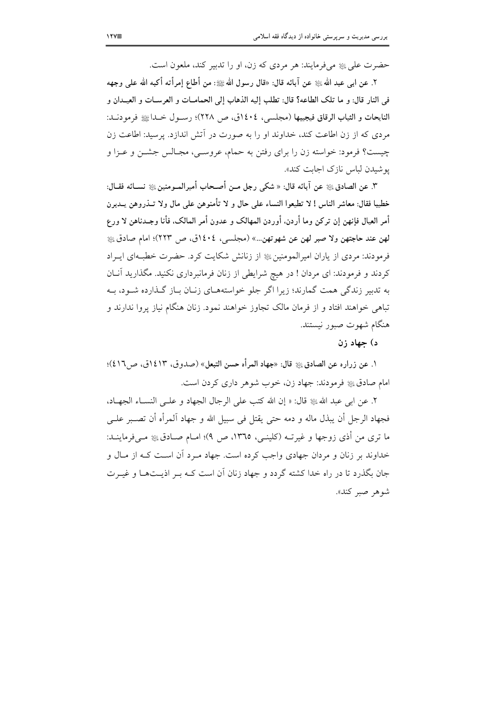حضرت علي ڇ هي فرمايند: هر مردي که زن، او را تدبير کند، ملعون است.

٢. عن ابي عبد الله ﷺ عن آبائه قال: «قال رسول الله ﷺ: من أطاع إمرأته أكبه الله على وجهه في النار قال: و ما تلك الطاعه؟ قال: تطلب إليه الذهاب إلى الحمامــات و العرســات و العيــدان و النايحات و الثياب الرقاق فيجيبها (مجلسي، ١٤٠٤ق، ص ٢٢٨)؛ رسـول خـداﷺ فرمودنـد: مردی که از زن اطاعت کند، خداوند او را به صورت در آتش اندازد. پرسید: اطاعت زن چیست؟ فرمود: خواسته زن را برای رفتن به حمام، عروسـی، مجـالس جشــن و عــزا و يو شيدن لباس نازك اجابت كند».

٣. عن الصادقﷺ عن آبائه قال: « شكي رجل مــن أصـحاب أميرالمــومنينﷺ نســائه فقــال: خطيبا فقال: معاشر الناس ! لا تطيعوا النساء على حال و لا تأمنوهن على مال ولا تــذروهن يــدبرن أمر العيال فإنهن إن تركن وما أردن. أوردن المهالك و عدون أمر المالك. فأنا وجـدناهن لا ورع لهن عند حاجتهن ولا صبر لهن عن شهوتهن...» (مجلسي، ١٤٠٤ق، ص ٢٢٣)؛ امام صادق ﷺ فرمودند: مردی از یاران امیرالمومنین ﷺ از زنانش شکایت کرد. حضرت خطبهای ایـراد کردند و فرمودند: ای مردان ! در هیچ شرایطی از زنان فرمانبرداری نکنید. مگذارید آنـان به تدبیر زندگی همت گمارند؛ زیرا اگر جلو خواستههـای زنـان بـاز گـذارده شـود، بـه تباهی خواهند افتاد و از فرمان مالک تجاوز خواهند نمود. زنان هنگام نیاز پروا ندارند و هنگام شهوت صبور نیستند.

د) حهاد زن

١. عن زراره عن الصادقﷺ قال: «جهاد المرأه حسن التبعل» (صدوق، ١٤١٣ق، ص١٤١٦)؛ امام صادق ڇ فومودند: جهاد زن، خوب شوهر داري کردن است.

٢. عن ابي عبد الله ﷺ قال: « إن الله كتب على الرجال الجهاد و علـى النسـاء الجهـاد، فجهاد الرجل أن يبذل ماله و دمه حتى يقتل في سبيل الله و جهاد اَلمرأه أن تصــبر علــي ما ترى من أذى زوجها و غيرتــه (كلينــى، ١٣٦٥، ص ٩)؛ امــام صــادقﷺ مــىفرماينــد: خداوند بر زنان و مردان جهادی واجب کرده است. جهاد میرد آن است کـه از مـال و جان یگذرد تا در راه خدا کشته گردد و جهاد زنان آن است کـه پـر اذیـتهـا و غیـرت شوهر صبر كند».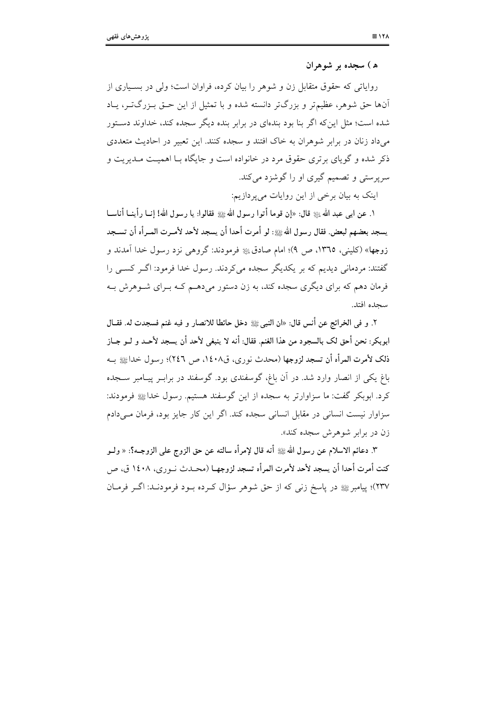#### ه) سجده بر شوهران

روایاتی که حقوق متقابل زن و شوهر را بیان کرده، فراوان است؛ ولی در بسـیاری از آنها حق شوهر، عظیمتر و بزرگتر دانسته شده و با تمثیل از این حـق بـزرگتـر، پـاد شده است؛ مثل این که اگر بنا بود بندهای در برابر بنده دیگر سجده کند، خداوند دستور می داد زنان در برابر شوهران به خاک افتند و سجده کنند. این تعبیر در احادیث متعددی ذکر شده و گویای برتری حقوق مرد در خانواده است و جایگاه بـا اهمیـت مـدیریت و سرپرستی و تصمیم گیری او را گوشزد می کند.

اینک به بیان برخی از این روایات می پر دازیم:

١. عن ابي عبد الله ﷺ قال: «إن قوما أتوا رسول الله ﷺ فقالوا: يا رسول الله! إنــا رأينــا أناســا يسجد بعضهم لبعض. فقال رسول اللهﷺ: لو أمرت أحدا أن يسجد لأحد لأمــرت المــرأه أن تســجد زوجها» (کليني، ١٣٦٥، ص ٩)؛ امام صادقﷺ فرمودند: گروهي نزد رسول خدا آمدند و گفتند: مردمانی دیدیم که بر یکدیگر سجده می کردند. رسول خدا فرمود: اگـر کسـبی را فرمان دهم که برای دیگری سجده کند، به زن دستور می دهــم کــه بــرای شــوهرش بــه سحده افتد.

٢. و في الخرائج عن أنس قال: «ان النبيﷺ دخل حائطًا للانصار و فيه غنم فسجدت له. فقــال ابوبكر: نحن أحق لك بالسجود من هذا الغنم. فقال: أنه لا ينبغي لأحد أن يسجد لأحــد و لــو جــاز ذلك لأمرت المرأه أن تسجد لزوجها (محدث نوري، ق١٤٠٨، ص ٢٤٦)؛ رسول خداﷺ بـه باغ یکی از انصار وارد شد. در آن باغ، گوسفندی بود. گوسفند در برابـر پیـامبر ســجده کرد. ابوبکر گفت: ما سزاوارتر به سجده از این گوسفند هستیم. رسول خداﷺ فرمودند: سزاوار نیست انسانی در مقابل انسانی سجده کند. اگر این کار جایز بود، فرمان مے دادم زن در برابر شوهرش سجده کند».

٣. دعائم الاسلام عن رسول الله ﷺ أنه قال لإمرأه سالته عن حق الزوج على الزوجــه؟: « ولــو كنت أمرت أحدا أن يسجد لأحد لأمرت المرأه تسجد لزوجهــا (محــدث نــو ري، ١٤٠٨ ق، ص ٢٣٧)؛ پيامبر ﷺ در ياسخ زنبي كه از حق شوهر سؤال كـرده بـود فرمودنـد: اگـر فرمـان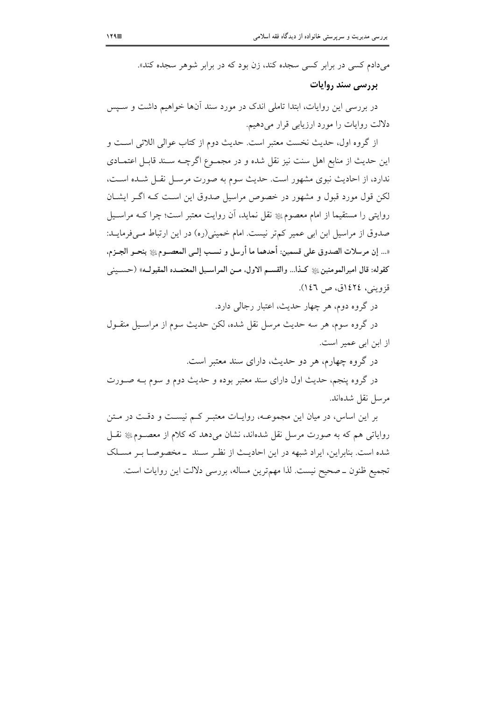میدادم کسی در برابر کسی سجده کند، زن بود که در برابر شوهر سجده کند».

## بررسی سند روایات

در بررسی این روایات، ابتدا تاملی اندک در مورد سند آنها خواهیم داشت و سـیس دلالت روایات را مورد ارزیابی قرار می دهیم.

از گروه اول، حديث نخست معتبر است. حديث دوم از كتاب عوالي اللائي است و این حدیث از منابع اهل سنت نیز نقل شده و در مجمـوع اگرچـه سـند قابـل اعتمـادی ندارد، از احادیث نبوی مشهور است. حدیث سوم به صورت مرسـل نقـل شـده اسـت، لکن قول مورد قبول و مشهور در خصوص مراسیل صدوق این است کـه اگـر ایشــان روایتی را مستقیما از امام معصومﷺ نقل نماید، آن روایت معتبر است؛ چرا کــه مراســیل صدوق از مراسیل ابن ابی عمیر کم تر نیست. امام خمینی(ره) در این ارتباط مےفرمایـد: «... إن مرسلات الصدوق على قسمين: أحدهما ما أرسل و نسب إلـي المعصـوم ﷺ بنحـو الجـزم، كقوله: قال اميرالمومنين۞ﷺ كـذا... والقســم الاول، مــن المراســيل المعتمــده المقبولــه» (حســيني قزويني، ١٤٢٤ق، ص ١٤٦).

در گروه دوم، هر چهار حدیث، اعتبار رجالی دارد.

در گروه سوم، هر سه حدیث مرسل نقل شده، لکن حدیث سوم از مراسـیل منقــول از ابن ابی عمیر است.

در گروه چهارم، هر دو حدیث، دارای سند معتبر است.

در گروه پنجم، حدیث اول دارای سند معتبر بوده و حدیث دوم و سوم بـه صـورت مرسل نقل شدهاند.

بر این اساس، در میان این مجموعـه، روایـات معتبـر کـم نیسـت و دقـت در مـتن روایاتی هم که به صورت مرسل نقل شدهاند، نشان میدهد که کلام از معصـومﷺ نقـل شده است. بنابراین، ایراد شبهه در این احادیث از نظر سـند \_مخصوصـا بـر مسـلک تجميع ظنون ــ صحيح نيست. لذا مهمترين مساله، بررسي دلالت اين روايات است.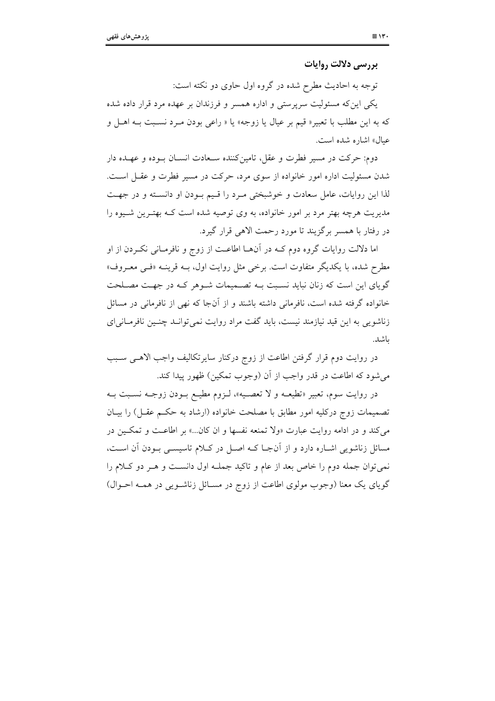بررسی دلالت روایات

توجه به احادیث مطرح شده در گروه اول حاوی دو نکته است: یکی این که مسئولیت سرپرستی و اداره همسر و فرزندان بر عهده مرد قرار داده شده که به این مطلب با تعبیر« قیم بر عیال یا زوجه» یا « راعی بودن مـرد نسـبت بــه اهـل و عيال» اشاره شده است.

دوم: حرکت در مسیر فطرت و عقل، تامینکننده سـعادت انسـان بــوده و عهــده دار شدن مسئولیت اداره امور خانواده از سوی مرد، حرکت در مسیر فطرت و عقـل اسـت. لذا این روایات، عامل سعادت و خوشبختی مـرد را قـیم بـودن او دانسـته و در جهـت مدیریت هرچه بهتر مرد بر امور خانواده، به وی توصیه شده است کـه بهتـرین شـیوه را در رفتار با همسر برگزیند تا مورد رحمت الاهی قرار گیرد.

اما دلالت روایات گروه دوم کـه در آنهـا اطاعـت از زوج و نافرمـانی نکـردن از او مطرح شده، با یکدیگر متفاوت است. برخی مثل روایت اول، بــه قرینــه «فــی معــروف» گویای این است که زنان نباید نسبت بـه تصـمیمات شـوهر کـه در جهـت مصـلحت خانواده گرفته شده است، نافرمانی داشته باشند و از آنجا که نهی از نافرمانی در مسائل زناشویی به این قید نیازمند نیست، باید گفت مراد روایت نمی توانـد چنـین نافرمـانی|ی ىاشد.

در روایت دوم قرار گرفتن اطاعت از زوج درکنار سایرتکالیف واجب الاهـبی سـبب مي شود كه اطاعت در قدر واجب از آن (وجوب تمكين) ظهور ييدا كند.

در روايت سوم، تعبير «تطيعــه و لا تعصـيه»، لـزوم مطيــع بــودن زوجــه نســبت بــه تصمیمات زوج درکلیه امور مطابق با مصلحت خانواده (ارشاد به حکـم عقـل) را بیــان می کند و در ادامه روایت عبارت «ولا تمنعه نفسها و ان کان...» بر اطاعت و تمکـین در مسائل زناشویی اشـاره دارد و از آنجـا کـه اصـل در کـلام تاسیسـی بـودن آن اسـت، نمي توان جمله دوم را خاص بعد از عام و تاكيد جملـه اول دانسـت و هـر دو كـلام را گویای یک معنا (وجوب مولوی اطاعت از زوج در مسـائل زناشـویی در همـه احـوال)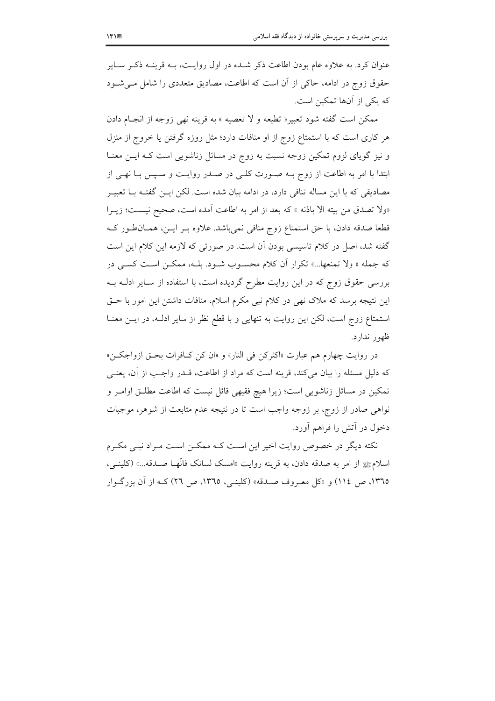عنوان کرد. به علاوه عام بودن اطاعت ذکر شـده در اول روایـت، بــه قرینــه ذکــر ســایر حقوق زوج در ادامه، حاکی از آن است که اطاعت، مصادیق متعددی را شامل می شـود که یکی از آنها تمکین است.

ممكن است گفته شود تعبير« تطيعه و لا تعصيه » به قرينه نهي زوجه از انجـام دادن هر کاری است که با استمتاع زوج از او منافات دارد؛ مثل روزه گرفتن یا خروج از منزل و نیز گویای لزوم تمکین زوجه نسبت به زوج در مسائل زناشویی است کـه ایــن معنــا ابتدا با امر به اطاعت از زوج بــه صـورت كلــي در صــدر روايــت و ســيس بــا نهــي از مصادیقی که با این مساله تنافی دارد، در ادامه بیان شده است. لکن ایــن گفتــه بــا تعبیــر «ولا تصدق من بيته الا باذنه » كه بعد از امر به اطاعت آمده است، صحيح نيسـت؛ زيــرا قطعا صدقه دادن، با حق استمتاع زوج منافی نمی باشد. علاوه بـر ایـن، همـان طور کـه گفته شد، اصل در کلام تاسیسی بودن اَن است. در صورتی که لازمه این کلام این است که جمله « ولا تمنعها...» تکرار آن کلام محسـوب شـود. بلـه، ممکـن اسـت کسـی در بررسی حقوق زوج که در این روایت مطرح گردیده است، با استفاده از سـایر ادلــه بــه این نتیجه برسد که ملاک نهی در کلام نبی مکرم اسلام، منافات داشتن این امور با حـق استمتاع زوج است، لكن اين روايت به تنهايي و با قطع نظر از ساير ادلـه، در ايـن معنــا ظهور ندارد.

در روايت چهارم هم عبارت «اكثركن في النار» و «ان كن كـافرات بحـق ازواجكـن» كه دليل مسئله را بيان مي كند، قرينه است كه مراد از اطاعت، قـــدر واجــب از آن، يعنــي تمکین در مسائل زناشویی است؛ زیرا هیچ فقیهی قائل نیست که اطاعت مطلـق اوامـر و نواهی صادر از زوج، بر زوجه واجب است تا در نتیجه عدم متابعت از شوهر، موجبات دخول در آتش را فراهم آورد.

نکته دیگر در خصوص روایت اخیر این است کـه ممکــن اسـت مـراد نبــی مکــرم اسلامﷺ از امر به صدقه دادن، به قرينه روايت «امسك لسانك فانَّهـا صـدقه...» (كلينــي، ١٣٦٥، ص ١١٤) و «كل معـروف صـدقه» (كلينـي، ١٣٦٥، ص ٢٦) كـه از آن بزرگـوار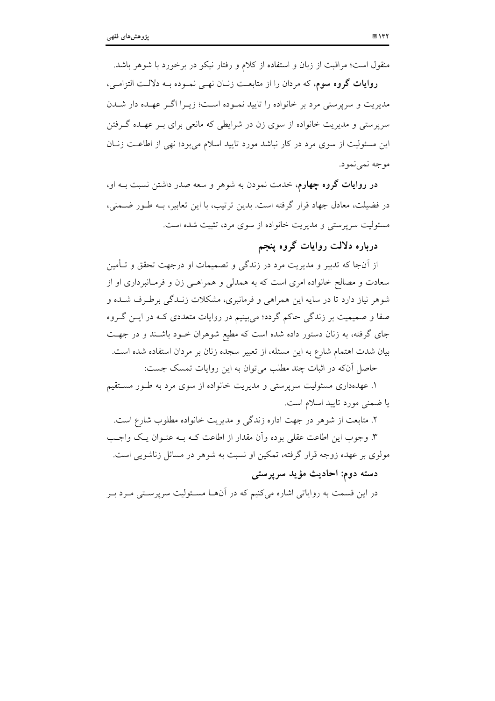منقول است؛ مراقبت از زبان و استفاده از كلام و رفتار نيكو در برخورد با شوهر باشد.

روایات گروه سوم، که مردان را از متابعـت زنــان نهــی نمــوده بــه دلالــت التزامــی، مدیریت و سرپرستی مرد بر خانواده را تایید نمـوده اسـت؛ زیـرا اگـر عهـده دار شـدن سربرستی و مدیریت خانواده از سوی زن در شرایطی که مانعی برای بـر عهـده گــرفتن این مسئولیت از سوی مرد در کار نباشد مورد تایید اسلام می بود؛ نهی از اطاعت زنبان موجه نمي نمود.

**در روایات گروه چهارم**، خدمت نمودن به شوهر و سعه صدر داشتن نسبت بــه او، در فضیلت، معادل جهاد قرار گرفته است. بدین ترتیب، با این تعابیر، بــه طــور ضــمنی، مسئولیت سرپرستی و مدیریت خانواده از سوی مرد، تثبیت شده است.

درباره دلالت روايات گروه پنجم

از آنجا که تدبیر و مدیریت مرد در زندگی و تصمیمات او درجهت تحقق و تـأمین سعادت و مصالح خانواده امري است كه به همدلي و همراهـي زن و فرمـانبرداري او از شوهر نیاز دارد تا در سایه این همراهی و فرمانبری، مشکلات زنـدگی برطـرف شـده و صفا و صمیمیت بر زندگی حاکم گردد؛ می بینیم در روایات متعددی کـه در ایــن گــروه جای گرفته، به زنان دستور داده شده است که مطیع شوهران خـود باشـند و در جهـت بیان شدت اهتمام شارع به این مسئله، از تعبیر سجده زنان بر مردان استفاده شده است. حاصل آنکه در اثبات چند مطلب می توان به این روایات تمسک جست:

۱. عهدهداری مسئولیت سرپرستی و مدیریت خانواده از سوی مرد به طـور مسـتقیم یا ضمنی مورد تایید اسلام است.

۲. متابعت از شوهر در جهت اداره زندگی و مدیریت خانواده مطلوب شارع است. ۳. وجوب این اطاعت عقلی بوده وأن مقدار از اطاعت کـه بـه عنــوان یــک واجــب مولوی بر عهده زوجه قرار گرفته، تمکین او نسبت به شوهر در مسائل زناشویی است.

# دسته دوم: احاديث مؤيد سرپرستي

در این قسمت به روایاتی اشاره میکنیم که در آنهـا مسـئولیت سرپرسـتی مـرد بـر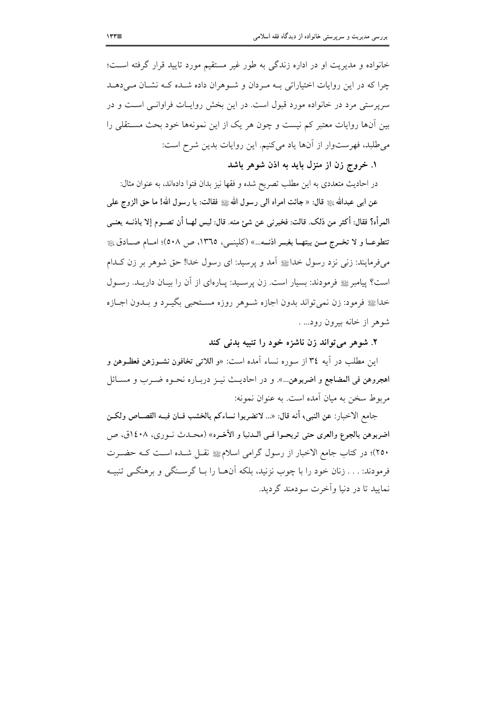خانواده و مدیریت او در اداره زندگی به طور غیر مستقیم مورد تایید قرار گرفته است؛ چرا که در این روایات اختیاراتی بـه مـردان و شـوهران داده شـده کـه نشـان مـیدهـد سرپرستی مرد در خانواده مورد قبول است. در این بخش روایــات فراوانــی اســت و در بین آنها روایات معتبر کم نیست و چون هر یک از این نمونهها خود بحث مسـتقلبی را می طلبد، فهرستوار از آنها یاد میکنیم. این روایات بدین شرح است:

۱. خروج زن از منزل باید به اذن شوهر باشد

در احادیث متعددی به این مطلب تصریح شده و فقها نیز بدان فتوا دادهاند، به عنوان مثال: عن ابي عبدالله ﷺ قال: « جائت امراه الي رسول الله ﷺ فقالت: يا رسول الله! ما حق الزوج على المرأه؟ فقال: أكثر من ذلك. قالت: فخبرني عن شئ منه. قال: ليس لهــا أن تصــوم إلا باذنــه يعنــي تتطوعــا و لا تخــرج مــن بيتهــا بغيــر اذنــه...» (كلينــي، ١٣٦٥، ص ٥٠٨)؛ امــام صــادق ١٤ مي فرمايند: زني نزد رسول خداﷺ آمد و پرسيد: اي رسول خدا! حق شوهر پر زن كـدام است؟ پیامبر ﷺ فرمودند: بسیار است. زن پرسـید: پــارهای از آن را بیــان داریــد. رســول خداﷺ فرمود: زن نمي تواند بدون اجازه شـوهر روزه مسـتحبي بگيـرد و بـدون اجــازه شوهر از خانه بیرون رود... .

٢. شوهر مي تواند زن ناشزه خود را تنبيه بدني كند

اين مطلب در أيه ٣٤ از سوره نساء أمده است: «و اللاتي تخافون نشــوزهن فعظــوهن و اهجروهن في المضاجع و اضربوهن...». و در احاديث نيـز دريـاره نحـوه ضـرب و مسـائل مربوط سخن به ميان آمده است. به عنوان نمونه:

جامع الاخبار: عن النبي، أنه قال: «... لاتضربوا نساءكم بالخشب فــان فيــه القصــاص ولكــن اضربوهن بالجوع والعرى حتى تربحـوا فـي الــدنيا و الآخـره» (محـدث نــوري، ١٤٠٨ق، ص ٢٥٠)؛ در كتاب جامع الاخبار از رسول گرامي اسلامﷺ نقـل شـده اسـت كـه حضـرت فرمودند: . . . زنان خود را با چوب نزنید، بلکه آنهــا را بــا گرســنگی و برهنگــی تنبیــه نماييد تا در دنيا وأخرت سودمند گرديد.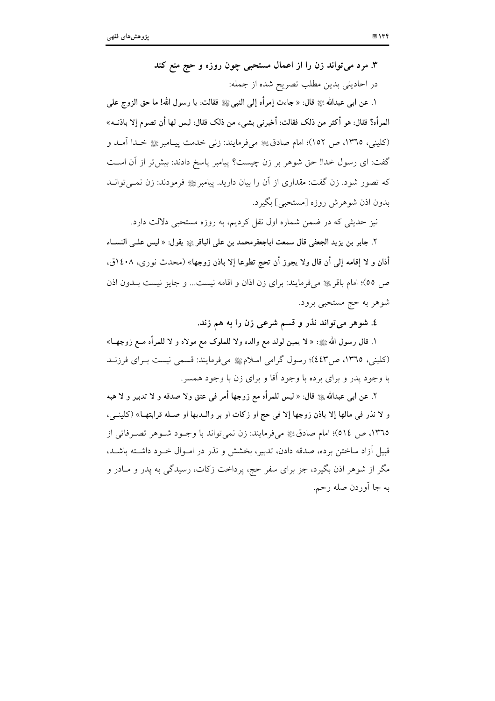۳. مرد می تواند زن را از اعمال مستحبی چون روزه و حج منع کند در احادیثی بدین مطلب تصریح شده از جمله:

١. عن ابي عبدالله ﷺ قال: « جاءت إمرأه إلى النبيﷺ فقالت: يا رسول الله! ما حق الزوج على المرأه؟ فقال: هو أكثر من ذلك فقالت: أخبرنبي بشيء من ذلك فقال: ليس لها أن تصوم إلا باذنــه» (كليني، ١٣٦٥، ص ١٥٢)؛ امام صادقﷺ مي فرمايند: زني خدمت پيـامبرﷺ خـدا آمـد و گفت: ای رسول خدا! حق شوهر بر زن چیست؟ پیامبر پاسخ دادند: بیش تر از آن است که تصور شود. زن گفت: مقداری از آن را بیان دارید. پیامبر ﷺ فرمودند: زن نمــیتوانــد بدون اذن شوهرش روزه [مستحبي] بگير د.

نیز حدیثی که در ضمن شماره اول نقل کردیم، به روزه مستحبی دلالت دارد.

٢. جابر بن يزيد الجعفي قال سمعت اباجعفرمحمد بن على الباقر ﷺ يقول: « ليس علــي النســاء أذان و لا إقامه إلى أن قال ولا يجوز أن تحج تطوعا إلا باذن زوجها» (محدث نوري، ١٤٠٨ق، ص ٥٥)؛ امام باقر ﷺ میفرمایند: برای زن اذان و اقامه نیست... و جایز نیست بـدون اذن شوهر به حج مستحبی برود.

٤. شوهر مي تواند نذر و قسم شرعي زن را به هم زند.

١. قال رسول الله ﷺ: « لا يمين لولد مع والده ولا للملوك مع مولاه و لا للمرأه مــع زوجهــا» (کلینی، ١٣٦٥، ص٤٤٣)؛ رسول گرامی اسلامﷺ میفرمایند: قسمی نیست بـرای فرزنــد با وجود يدر و براي برده با وجود آقا و براي زن با وجود همسر.

٢. عن ابي عبدالله ﷺ قال: « ليس للمرأه مع زوجها أمر في عتق ولا صدقه و لا تدبير و لا هبه و لا نذر في مالها إلا باذن زوجها إلا في حج او زكات او بر والـديها او صـله قرابتهـا» (كلينـي، ١٣٦٥، ص ٥١٤)؛ امام صادقﷺ مي فرمايند: زن نمي تواند با وجـود شـوهر تصـرفاتي از قبیل آزاد ساختن برده، صدقه دادن، تدبیر، بخشش و نذر در امـوال خـود داشـته باشـد، مگر از شوهر اذن بگیرد، جز برای سفر حج، پرداخت زکات، رسیدگی به پدر و مـادر و به جا آوردن صله رحم.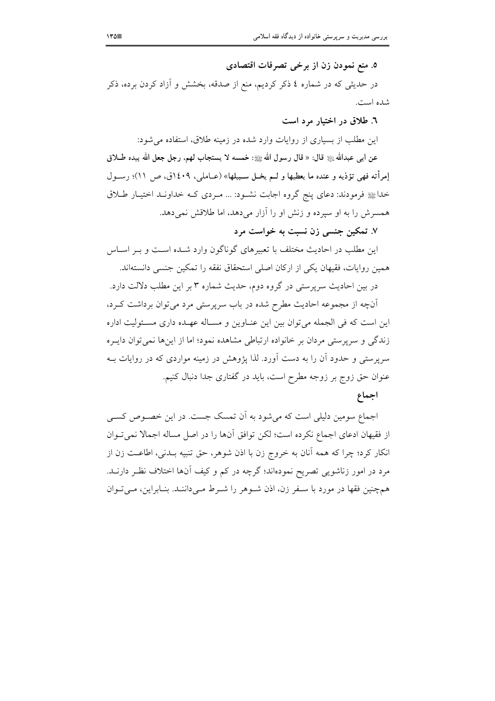٥. منع نمودن زن از برخی تصرفات اقتصادی

در حدیثی که در شماره ٤ ذکر کردیم، منع از صدقه، بخشش و آزاد کردن برده، ذکر شده است.

٦. طلاق در اختیار مرد است

این مطلب از بسیاری از روایات وارد شده در زمینه طلاق، استفاده می شود: عن ابـي عبدالله ﷺ قال: « قال رسول الله ﷺ: خمسه لا يستجاب لهم، رجل جعل الله بيده طــلاق إمرأته فهي تؤذيه و عنده ما يعطيها و لــم يخــل ســبيلها» (عــاملي، ١٤٠٩ق، ص ١١)؛ رســول خداﷺ فرمودند: دعای پنج گروه اجابت نشـود: ... مـردی کـه خداونـد اختيـار طـلاق همسرش را به او سیرده و زنش او را آزار میدهد، اما طلاقش نمیدهد.

۷. تمکین جنسی زن نسبت به خواست مرد

این مطلب در احادیث مختلف با تعبیرهای گوناگون وارد شـده اسـت و بـر اسـاس همین روایات، فقیهان یکی از ارکان اصلی استحقاق نفقه را تمکین جنسی دانستهاند.

در بین احادیث سرپرستی در گروه دوم، حدیث شماره ۳ بر این مطلب دلالت دارد. آنچه از مجموعه احادیث مطرح شده در باب سرپرستی مرد می توان برداشت کـرد، این است که فی الجمله می توان بین این عنـاوین و مسـاله عهـده داری مسـئولیت اداره زندگی و سرپرستی مردان بر خانواده ارتباطی مشاهده نمود؛ اما از اینها نمیتوان دایـره سرپرستی و حدود آن را به دست آورد. لذا پژوهش در زمینه مواردی که در روایات بــه

> عنوان حق زوج بر زوجه مطرح است، باید در گفتاری جدا دنبال کنیم. اجماع

اجماع سومین دلیلی است که می شود به آن تمسک جست. در این خصـوص کسـی از فقیهان ادعای اجماع نکرده است؛ لکن توافق آنها را در اصل مساله اجمالا نمیتوان انکار کرد؛ چرا که همه آنان به خروج زن با اذن شوهر، حق تنبیه بـدنی، اطاعـت زن از مرد در امور زناشویی تصریح نمودهاند؛ گرچه در کم و کیف آنها اختلاف نظـر دارنــد. همچنین فقها در مورد با سـفر زن، اذن شـوهر را شـرط مـیداننـد. بنـابراین، مـیتوان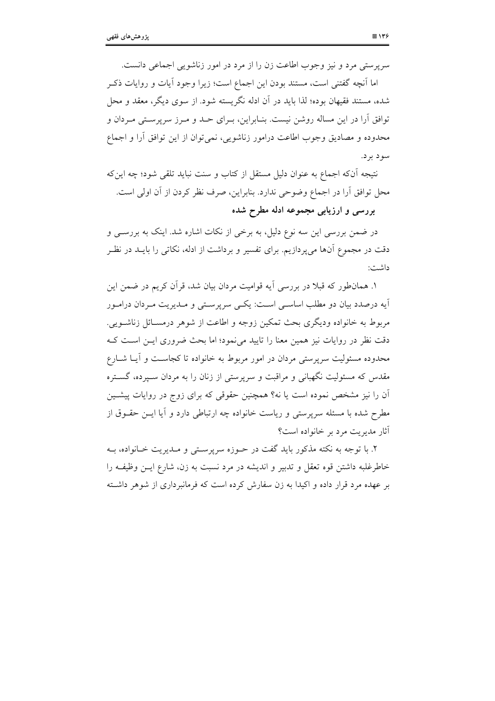سرپرستی مرد و نیز وجوب اطاعت زن را از مرد در امور زناشویی اجماعی دانست.

اما آنچه گفتنی است، مستند بودن این اجماع است؛ زیرا وجود آیات و روایات ذکـر شده، مستند فقیهان بوده؛ لذا باید در آن ادله نگریسته شود. از سوی دیگر، معقد و محل توافق آرا در این مساله روشن نیست. بنـابراین، بـرای حـد و مـرز سرپرسـتی مـردان و محدوده و مصادیق وجوب اطاعت درامور زناشویی، نمی توان از این توافق أرا و اجماع سو د پر د.

نتيجه آنکه اجماع به عنوان دليل مستقل از کتاب و سنت نبايد تلقى شود؛ چه اينکه محل توافق آرا در اجماع وضوحی ندارد. بنابراین، صرف نظر کردن از آن اولی است.

بررسی و ارزیابی مجموعه ادله مطرح شده

در ضمن بررسی این سه نوع دلیل، به برخی از نکات اشاره شد. اینک به بررســی و دقت در مجموع آنها می یردازیم. برای تفسیر و برداشت از ادله، نکاتی را بایــد در نظـر داشت:

۱. همانطور که قبلاً در بررسی آیه قوامیت مردان بیان شد، قرآن کریم در ضمن این آيه درصدد بيان دو مطلب اساســي اســت: يكــي سريرســتي و مــديريت مــردان درامــور مربوط به خانواده ودیگری بحث تمکین زوجه و اطاعت از شوهر درمسـائل زناشـویی. دقت نظر در روایات نیز همین معنا را تایید می نمود؛ اما بحث ضروری ایـن اسـت کـه محدوده مسئولیت سرپرستی مردان در امور مربوط به خانواده تا کجاســت و آیــا شــارع مقدس که مسئولیت نگهبانی و مراقبت و سرپرستی از زنان را به مردان سـپرده، گســتره آن را نیز مشخص نموده است یا نه؟ همچنین حقوقی که برای زوج در روایات پیشـین مطرح شده با مسئله سرپرستی و ریاست خانواده چه ارتباطی دارد و آیا ایــن حقــوق از آثار مديريت مرد بر خانواده است؟

۲. با توجه به نکته مذکور باید گفت در حـوزه سرپرسـتی و مـدیریت خـانواده، بـه خاطرغلبه داشتن قوه تعقل و تدبیر و اندیشه در مرد نسبت به زن، شارع ایــن وظیفــه را بر عهده مرد قرار داده و اکیدا به زن سفارش کرده است که فرمانبرداری از شوهر داشته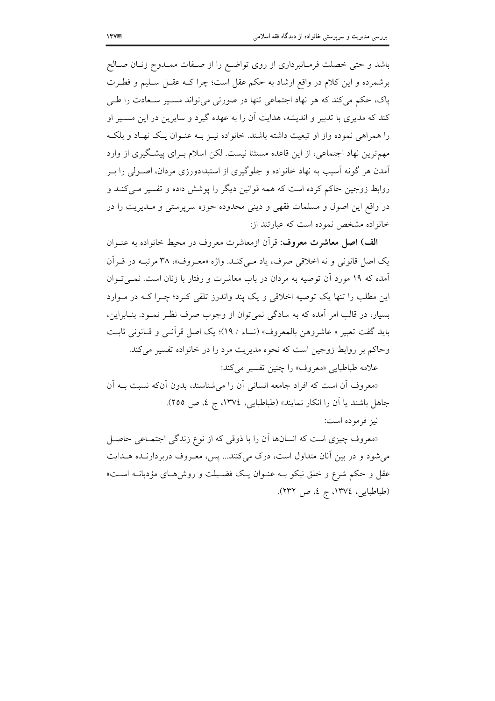باشد و حتی خصلت فرمـانبرداری از روی تواضـع را از صـفات ممـدوح زنــان صــالح برشمرده و این کلام در واقع ارشاد به حکم عقل است؛ چرا کـه عقـل سـليم و فطـرت پاک، حکم میکند که هر نهاد اجتماعی تنها در صورتی میتواند مسـير سـعادت را طـی کند که مدیری با تدبیر و اندیشه، هدایت آن را به عهده گیرد و سایرین در این مسـیر او را همراهی نموده واز او تبعیت داشته باشند. خانواده نیـز بـه عنـوان یـک نهـاد و بلکـه مهمترین نهاد اجتماعی، از این قاعده مستثنا نیست. لکن اسلام بـرای پیشگیری از وارد آمدن هر گونه آسیب به نهاد خانواده و جلوگیری از استبدادورزی مردان، اصـولی را بــر روابط زوجین حاکم کرده است که همه قوانین دیگر را پوشش داده و تفسیر مــیکنــد و در واقع این اصول و مسلمات فقهی و دینی محدوده حوزه سرپرستی و مـدیریت را در خانواده مشخص نموده است که عبارتند از:

الف) اصل معاشرت معروف: قرأن ازمعاشرت معروف در محيط خانواده به عنـوان یک اصل قانونی و نه اخلاقی صرف، یاد مے کنید. واژه «معبروف»، ۳۸ مرتب در قبراًن آمده که ۱۹ مورد آن توصیه به مردان در باب معاشرت و رفتار با زنان است. نمبی تــوان این مطلب را تنها یک توصیه اخلاقی و یک پند واندرز تلقی کـرد؛ چـرا کـه در مـوارد بسیار، در قالب امر آمده که به سادگی نمی توان از وجوب صرف نظـر نمـود. بنـابراین، بايد گفت تعبير « عاشروهن بالمعروف» (نساء / ١٩)؛ يک اصل قرآنبي و قبانوني ثابت وحاکم بر روابط زوجین است که نحوه مدیریت مرد را در خانواده تفسیر می کند. علامه طباطبايي «معروف» را چنين تفسير مي كند:

«معروف أن است كه افراد جامعه انساني أن را مي شناسند، بدون أنكه نسبت بــه أن

جاهل باشند یا آن را انکار نمایند» (طباطبایی، ۱۳۷٤، ج ٤، ص ٢٥٥).

نيز فرموده است:

«معروف چیزی است که انسانها آن را با ذوقی که از نوع زندگی اجتمـاعی حاصـل می شود و در بین آنان متداول است، درک می کنند... پس، معـروف دربردارنــده هــدایت عقل و حکم شرع و خلق نیکو بـه عنــوان یــک فضــیلت و روش۵حـای مؤدبانــه اســت» (طباطبايي، ١٣٧٤، ج ٤، ص ٢٣٢).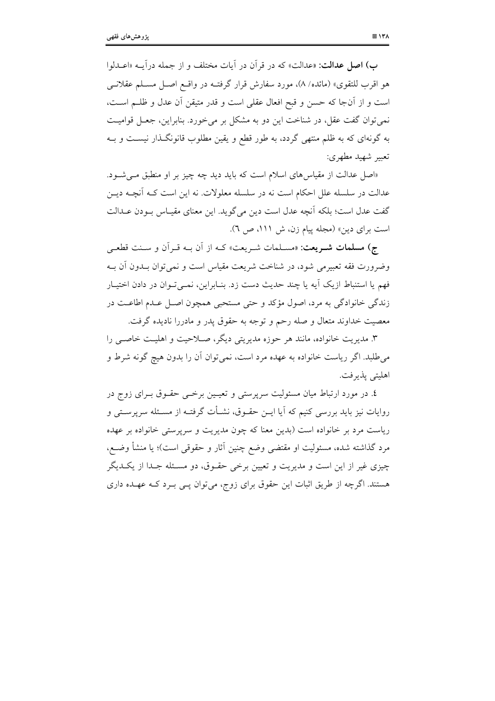ب) اصل عدالت: «عدالت» كه در قرأن در أيات مختلف و از جمله درأيــه «اعــدلوا هو اقرب للتقوى» (مائده/ ٨)، مورد سفارش قرار گرفتـه در واقــع اصــل مســلم عقلانــي است و از آنجا که حسن و قبح افعال عقلی است و قدر متیقن آن عدل و ظلـم اسـت، نمي توان گفت عقل، در شناخت اين دو به مشكل بر مي خورد. بنابراين، جعـل قواميـت به گونهای که به ظلم منتهی گردد، به طور قطع و یقین مطلوب قانونگـذار نیســت و بــه تعبير شهيد مطهري:

«اصل عدالت از مقیاس های اسلام است که باید دید چه چیز بر او منطبق می شود. عدالت در سلسله علل احکام است نه در سلسله معلولات. نه این است کـه آنچـه دیــز گفت عدل است؛ بلكه آنچه عدل است دين مي گويد. اين معناي مقيـاس بـودن عـدالت است برای دین» (مجله ییام زن، ش ١١١، ص ٦).

ج) مسلمات شــريعت: «مســلمات شــريعت» كــه از أن بــه قــرأن و ســنت قطعــي وضرورت فقه تعبیرمی شود، در شناخت شریعت مقیاس است و نمی توان بــدون اَن بــه فهم يا استنباط ازيک آيه يا چند حديث دست زد. بنـابراين، نمـيتوان در دادن اختيـار زندگي خانوادگي به مرد، اصول مؤكد و حتى مستحبي همچون اصل عـدم اطاعـت در معصیت خداوند متعال و صله رحم و توجه به حقوق پدر و مادررا نادیده گرفت.

۳. مدیریت خانواده، مانند هر حوزه مدیریتی دیگر، صـلاحیت و اهلیـت خاصـی را می طلبد. اگر ریاست خانواده به عهده مرد است، نمی توان آن را بدون هیچ گونه شرط و اهليتي يذيرفت.

٤. در مورد ارتباط میان مسئولیت سرپرستی و تعیـین برخــی حقــوق بــرای زوج در روایات نیز باید بررسی کنیم که آیا ایــن حقــوق، نشــأت گرفتــه از مســئله سرپرســتی و ریاست مرد بر خانواده است (بدین معنا که چون مدیریت و سرپرستی خانواده بر عهده مرد گذاشته شده، مسئولیت او مقتضی وضع چنین آثار و حقوقی است)؛ یا منشأ وضـع، چیزی غیر از این است و مدیریت و تعیین برخی حقـوق، دو مسـئله جـدا از یکـدیگر هستند. اگرچه از طریق اثبات این حقوق برای زوج، میتوان پــی بــرد کــه عهــده داری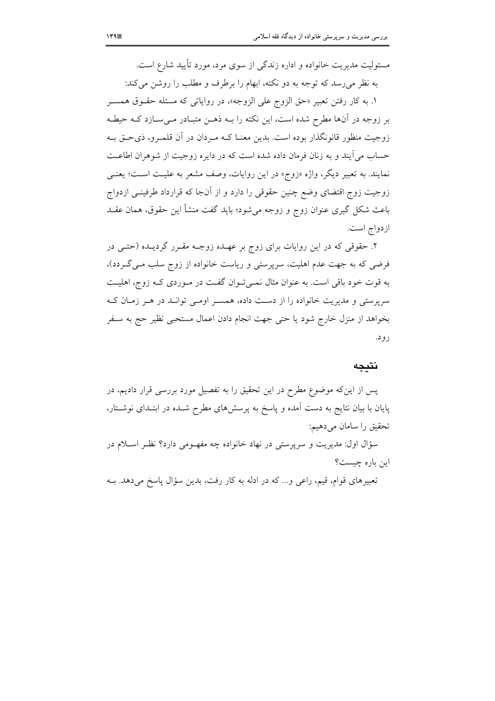مسئولیت مدیریت خانواده و اداره زندگی از سوی مرد، مورد تأیید شارع است. به نظر می رسد که توجه به دو نکته، ابهام را برطرف و مطلب را روشن می کند: ۱. به کار رفتن تعبیر «حق الزوج علی الزوجه»، در روایاتی که مسئله حقـوق همسـر بر زوجه در آنها مطرح شده است، این نکته را بــه ذهــن متبــادر مــیســازد کــه حیطــه زوجیت منظور قانونگذار بوده است. بدین معنــا کــه مــردان در آن قلمــرو، ذیحــق بــه حساب مي آيند و به زنان فرمان داده شده است كه در دايره زوجيت از شوهران اطاعـت نمایند. به تعبیر دیگر، واژه «زوج» در این روایات، وصف مشعر به علیـت اسـت؛ یعنـی زوجيت زوج اقتضاى وضع چنين حقوقي را دارد و از آنجا كه قرارداد طرفينــي ازدواج باعث شکل گیری عنوان زوج و زوجه میشود؛ باید گفت منشأ این حقوق، همان عقــد ازدواج است.

۲. حقوقی که در این روایات برای زوج بر عهـده زوجـه مقـرر گردیـده (حتـی در فرضی که به جهت عدم اهلیت، سرپرستی و ریاست خانواده از زوج سلب مـی گـردد)، به قوت خود باقی است. به عنوان مثال نمـیتوان گفـت در مـوردی کـه زوج، اهلیـت سرپرستی و مدیریت خانواده را از دست داده، همسـر اومـی توانـد در هـر زمـان کـه بخواهد از منزل خارج شود یا حتی جهت انجام دادن اعمال مستحبی نظیر حج به سـفر رود.

#### نتىحە

پس از این که موضوع مطرح در این تحقیق را به تفصیل مورد بررسی قرار دادیم، در پایان با بیان نتایج به دست آمده و پاسخ به پرسشهای مطرح شـده در ابتـدای نوشـتار، تحقيق را سامان مي دهيم:

سؤال اول: مديريت و سرپرستي در نهاد خانواده چه مفهـومي دارد؟ نظـر اسـلام در این باره چیست؟

تعبیرهای قوام، قیم، راعی و… که در ادله به کار رفت، بدین سؤال پاسخ میدهد. بــه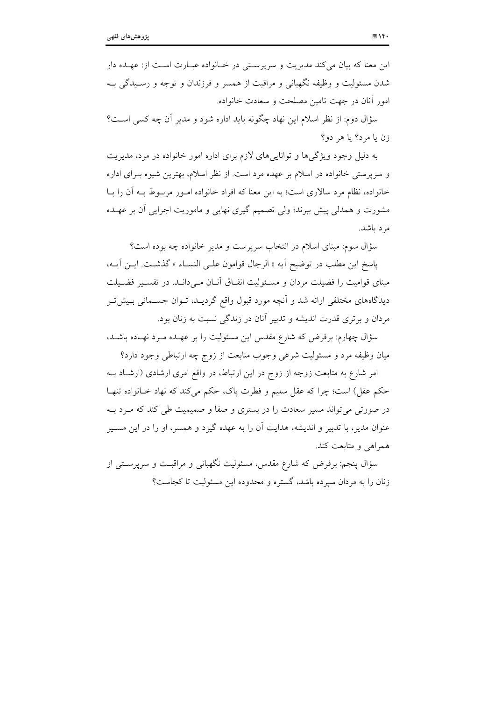این معنا که بیان میکند مدیریت و سرپرستی در خانواده عبارت است از: عهده دار شدن مسئولیت و وظیفه نگهبانی و مراقبت از همسر و فرزندان و توجه و رسـیدگی بـه امور أنان در جهت تامین مصلحت و سعادت خانواده.

سؤال دوم: از نظر اسلام این نهاد چگونه باید اداره شود و مدیر آن چه کسی است؟ زن يا مرد؟ يا هر دو؟

به دلیل وجود ویژگی ها و توانایی های لازم برای اداره امور خانواده در مرد، مدیریت و سرپرستی خانواده در اسلام بر عهده مرد است. از نظر اسلام، بهترین شیوه بـرای اداره خانواده، نظام مرد سالاری است؛ به این معنا که افراد خانواده امـور مربـوط بـه آن را بــا مشورت و همدلی پیش ببرند؛ ولی تصمیم گیری نهایی و ماموریت اجرایی آن بر عهـده مرد باشد.

سؤال سوم: مبنای اسلام در انتخاب سرپرست و مدیر خانواده چه بوده است؟

پاسخ اين مطلب در توضيح آيه « الرجال قوامون علـي النسـاء » گذشـت. ايـن آيــه، مبنای قوامیت را فضیلت مردان و مسئولیت انفـاق آنـان مـیدانـد. در تفسـیر فضـیلت دیدگاههای مختلفی ارائه شد و آنچه مورد قبول واقع گردیــد، تــوان جســمانی بــیش5تــر مردان و برتري قدرت انديشه و تدبير آنان در زندگي نسبت به زنان بود.

سؤال چهارم: برفرض که شارع مقدس این مسئولیت را بر عهـده مـرد نهـاده باشـد، میان وظیفه مرد و مسئولیت شرعی وجوب متابعت از زوج چه ارتباطی وجود دارد؟

امر شارع به متابعت زوجه از زوج در این ارتباط، در واقع امری ارشادی (ارشـاد بـه حکم عقل) است؛ چرا که عقل سلیم و فطرت یاک، حکم می کند که نهاد خـانواده تنهـا در صورتی می تواند مسیر سعادت را در بستری و صفا و صمیمیت طی کند که مـرد بـه عنوان مدیر، با تدبیر و اندیشه، هدایت آن را به عهده گیرد و همسر، او را در این مسـیر همراهي و متابعت كند.

سؤال پنجم: برفرض که شارع مقدس، مسئولیت نگهبانی و مراقبـت و سرپرسـتـی از زنان را به مردان سیرده باشد، گستره و محدوده این مسئولیت تا کجاست؟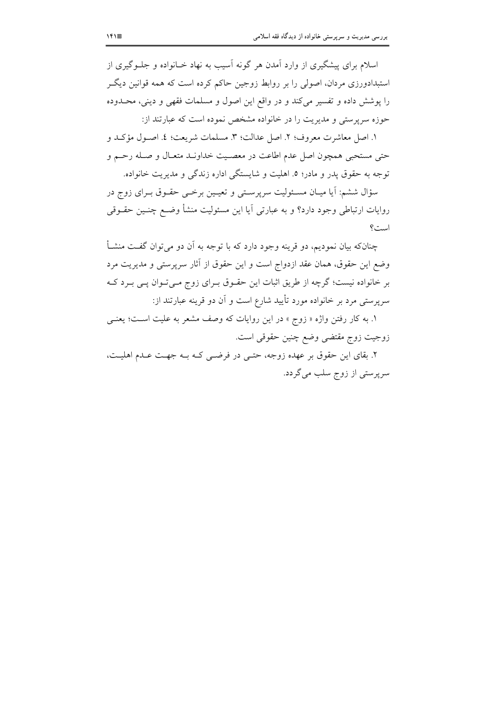اسلام برای پیشگیری از وارد آمدن هر گونه آسیب به نهاد خـانواده و جلــوگیری از استبدادورزی مردان، اصولی را بر روابط زوجین حاکم کرده است که همه قوانین دیگـر را پوشش داده و تفسیر می کند و در واقع این اصول و مسلمات فقهی و دینی، محـدوده حوزه سرپرستی و مدیریت را در خانواده مشخص نموده است که عبارتند از:

١. اصل معاشرت معروف؛ ٢. اصل عدالت؛ ٣. مسلمات شريعت؛ ٤. اصـول مؤكـد و حتى مستحبي همچون اصل عدم اطاعت در معصـيت خداونـد متعـال و صـله رحـم و توجه به حقوق يدر و مادر؛ ٥. اهليت و شايستگي اداره زندگي و مديريت خانواده.

سؤال ششم: آیا میـان مسـئولیت سرپرسـتی و تعیـین برخـی حقـوق بـرای زوج در روایات ارتباطی وجود دارد؟ و به عبارتی آیا این مسئولیت منشأ وضـع چنــین حقــوقی است؟

چنانکه بیان نمودیم، دو قرینه وجود دارد که با توجه به آن دو میتوان گفت منشـأ وضع این حقوق، همان عقد ازدواج است و این حقوق از آثار سرپرستی و مدیریت مرد بر خانواده نیست؛ گرچه از طریق اثبات این حقـوق بـرای زوج مـیتـوان پـی بـرد کـه سرپرستی مرد بر خانواده مورد تأیید شارع است و آن دو قرینه عبارتند از:

۱. به کار رفتن واژه « زوج » در این روایات که وصف مشعر به علیت است؛ یعنـی زوجيت زوج مقتضى وضع چنين حقوقي است.

٢. بقای این حقوق بر عهده زوجه، حتبی در فرضبی کـه بـه جهـت عـدم اهلیـت، سرپرستی از زوج سلب میگردد.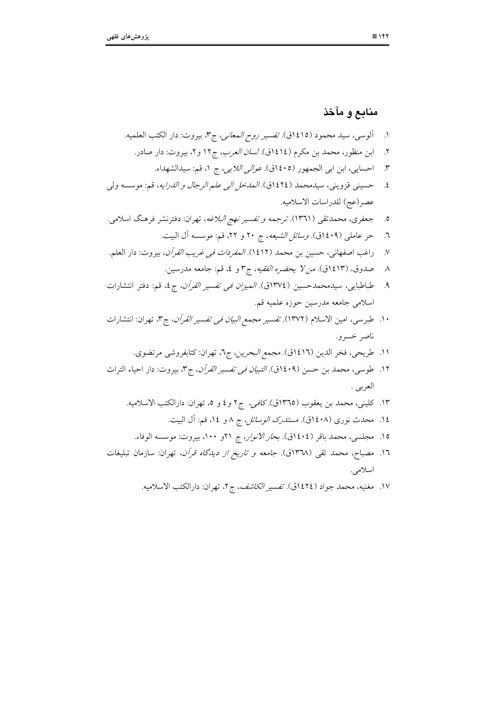# منابع و مآخذ

 $\sim$